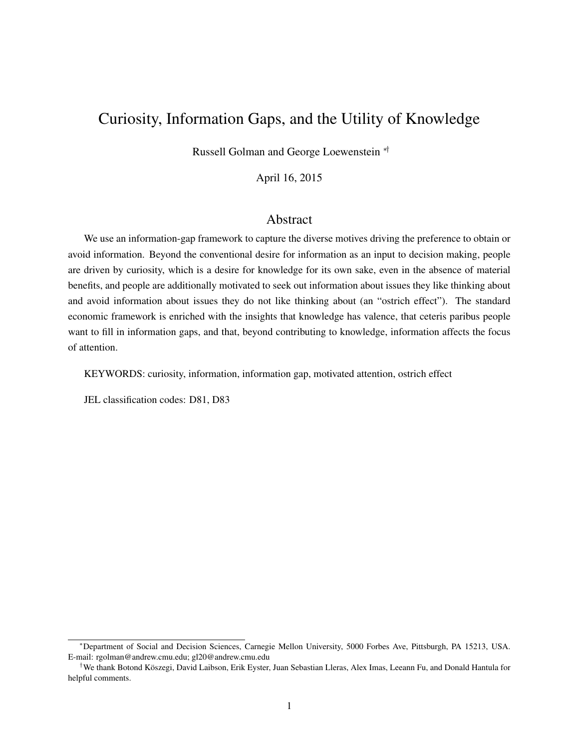# Curiosity, Information Gaps, and the Utility of Knowledge

Russell Golman and George Loewenstein ∗†

April 16, 2015

# Abstract

We use an information-gap framework to capture the diverse motives driving the preference to obtain or avoid information. Beyond the conventional desire for information as an input to decision making, people are driven by curiosity, which is a desire for knowledge for its own sake, even in the absence of material benefits, and people are additionally motivated to seek out information about issues they like thinking about and avoid information about issues they do not like thinking about (an "ostrich effect"). The standard economic framework is enriched with the insights that knowledge has valence, that ceteris paribus people want to fill in information gaps, and that, beyond contributing to knowledge, information affects the focus of attention.

KEYWORDS: curiosity, information, information gap, motivated attention, ostrich effect

JEL classification codes: D81, D83

<sup>∗</sup>Department of Social and Decision Sciences, Carnegie Mellon University, 5000 Forbes Ave, Pittsburgh, PA 15213, USA. E-mail: rgolman@andrew.cmu.edu; gl20@andrew.cmu.edu

<sup>†</sup>We thank Botond Koszegi, David Laibson, Erik Eyster, Juan Sebastian Lleras, Alex Imas, Leeann Fu, and Donald Hantula for ¨ helpful comments.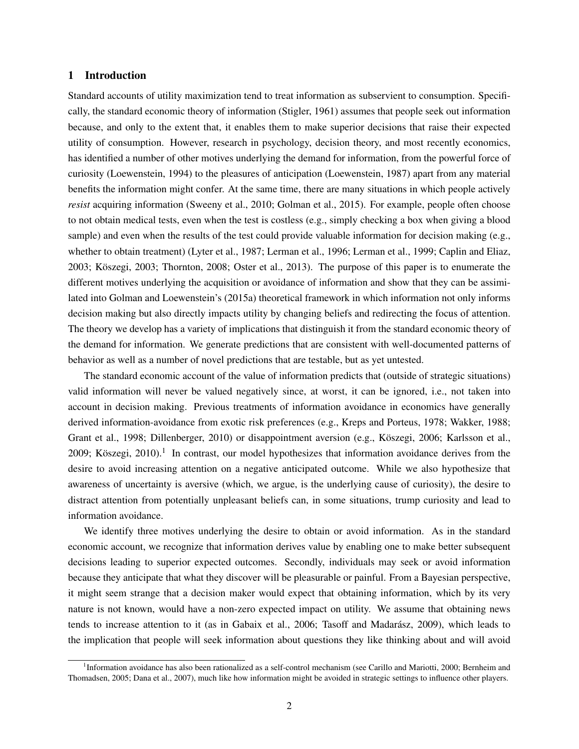### 1 Introduction

Standard accounts of utility maximization tend to treat information as subservient to consumption. Specifically, the standard economic theory of information (Stigler, 1961) assumes that people seek out information because, and only to the extent that, it enables them to make superior decisions that raise their expected utility of consumption. However, research in psychology, decision theory, and most recently economics, has identified a number of other motives underlying the demand for information, from the powerful force of curiosity (Loewenstein, 1994) to the pleasures of anticipation (Loewenstein, 1987) apart from any material benefits the information might confer. At the same time, there are many situations in which people actively *resist* acquiring information (Sweeny et al., 2010; Golman et al., 2015). For example, people often choose to not obtain medical tests, even when the test is costless (e.g., simply checking a box when giving a blood sample) and even when the results of the test could provide valuable information for decision making (e.g., whether to obtain treatment) (Lyter et al., 1987; Lerman et al., 1996; Lerman et al., 1999; Caplin and Eliaz, 2003; Koszegi, 2003; Thornton, 2008; Oster et al., 2013). The purpose of this paper is to enumerate the ¨ different motives underlying the acquisition or avoidance of information and show that they can be assimilated into Golman and Loewenstein's (2015a) theoretical framework in which information not only informs decision making but also directly impacts utility by changing beliefs and redirecting the focus of attention. The theory we develop has a variety of implications that distinguish it from the standard economic theory of the demand for information. We generate predictions that are consistent with well-documented patterns of behavior as well as a number of novel predictions that are testable, but as yet untested.

The standard economic account of the value of information predicts that (outside of strategic situations) valid information will never be valued negatively since, at worst, it can be ignored, i.e., not taken into account in decision making. Previous treatments of information avoidance in economics have generally derived information-avoidance from exotic risk preferences (e.g., Kreps and Porteus, 1978; Wakker, 1988; Grant et al., 1998; Dillenberger, 2010) or disappointment aversion (e.g., Köszegi, 2006; Karlsson et al., 2009; Köszegi, 2010).<sup>1</sup> In contrast, our model hypothesizes that information avoidance derives from the desire to avoid increasing attention on a negative anticipated outcome. While we also hypothesize that awareness of uncertainty is aversive (which, we argue, is the underlying cause of curiosity), the desire to distract attention from potentially unpleasant beliefs can, in some situations, trump curiosity and lead to information avoidance.

We identify three motives underlying the desire to obtain or avoid information. As in the standard economic account, we recognize that information derives value by enabling one to make better subsequent decisions leading to superior expected outcomes. Secondly, individuals may seek or avoid information because they anticipate that what they discover will be pleasurable or painful. From a Bayesian perspective, it might seem strange that a decision maker would expect that obtaining information, which by its very nature is not known, would have a non-zero expected impact on utility. We assume that obtaining news tends to increase attention to it (as in Gabaix et al., 2006; Tasoff and Madarász, 2009), which leads to the implication that people will seek information about questions they like thinking about and will avoid

<sup>&</sup>lt;sup>1</sup>Information avoidance has also been rationalized as a self-control mechanism (see Carillo and Mariotti, 2000; Bernheim and Thomadsen, 2005; Dana et al., 2007), much like how information might be avoided in strategic settings to influence other players.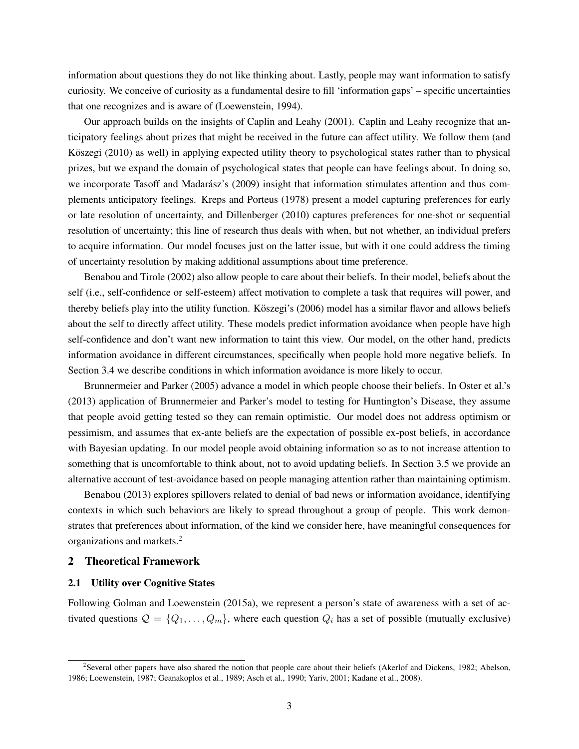information about questions they do not like thinking about. Lastly, people may want information to satisfy curiosity. We conceive of curiosity as a fundamental desire to fill 'information gaps' – specific uncertainties that one recognizes and is aware of (Loewenstein, 1994).

Our approach builds on the insights of Caplin and Leahy (2001). Caplin and Leahy recognize that anticipatory feelings about prizes that might be received in the future can affect utility. We follow them (and Köszegi (2010) as well) in applying expected utility theory to psychological states rather than to physical prizes, but we expand the domain of psychological states that people can have feelings about. In doing so, we incorporate Tasoff and Madarász's (2009) insight that information stimulates attention and thus complements anticipatory feelings. Kreps and Porteus (1978) present a model capturing preferences for early or late resolution of uncertainty, and Dillenberger (2010) captures preferences for one-shot or sequential resolution of uncertainty; this line of research thus deals with when, but not whether, an individual prefers to acquire information. Our model focuses just on the latter issue, but with it one could address the timing of uncertainty resolution by making additional assumptions about time preference.

Benabou and Tirole (2002) also allow people to care about their beliefs. In their model, beliefs about the self (i.e., self-confidence or self-esteem) affect motivation to complete a task that requires will power, and thereby beliefs play into the utility function. Köszegi's (2006) model has a similar flavor and allows beliefs about the self to directly affect utility. These models predict information avoidance when people have high self-confidence and don't want new information to taint this view. Our model, on the other hand, predicts information avoidance in different circumstances, specifically when people hold more negative beliefs. In Section 3.4 we describe conditions in which information avoidance is more likely to occur.

Brunnermeier and Parker (2005) advance a model in which people choose their beliefs. In Oster et al.'s (2013) application of Brunnermeier and Parker's model to testing for Huntington's Disease, they assume that people avoid getting tested so they can remain optimistic. Our model does not address optimism or pessimism, and assumes that ex-ante beliefs are the expectation of possible ex-post beliefs, in accordance with Bayesian updating. In our model people avoid obtaining information so as to not increase attention to something that is uncomfortable to think about, not to avoid updating beliefs. In Section 3.5 we provide an alternative account of test-avoidance based on people managing attention rather than maintaining optimism.

Benabou (2013) explores spillovers related to denial of bad news or information avoidance, identifying contexts in which such behaviors are likely to spread throughout a group of people. This work demonstrates that preferences about information, of the kind we consider here, have meaningful consequences for organizations and markets.<sup>2</sup>

# 2 Theoretical Framework

#### 2.1 Utility over Cognitive States

Following Golman and Loewenstein (2015a), we represent a person's state of awareness with a set of activated questions  $\mathcal{Q} = \{Q_1, \ldots, Q_m\}$ , where each question  $Q_i$  has a set of possible (mutually exclusive)

<sup>&</sup>lt;sup>2</sup>Several other papers have also shared the notion that people care about their beliefs (Akerlof and Dickens, 1982; Abelson, 1986; Loewenstein, 1987; Geanakoplos et al., 1989; Asch et al., 1990; Yariv, 2001; Kadane et al., 2008).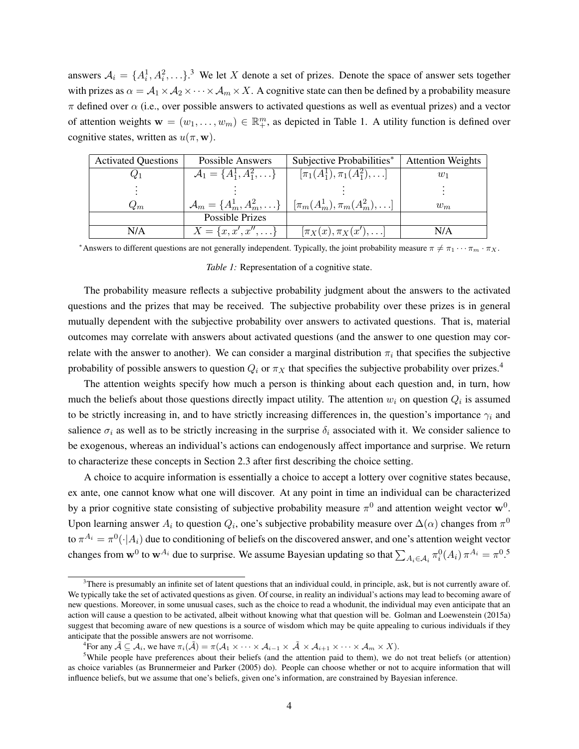answers  $A_i = \{A_i^1, A_i^2, \ldots\}$ .<sup>3</sup> We let X denote a set of prizes. Denote the space of answer sets together with prizes as  $\alpha = A_1 \times A_2 \times \cdots \times A_m \times X$ . A cognitive state can then be defined by a probability measure  $\pi$  defined over  $\alpha$  (i.e., over possible answers to activated questions as well as eventual prizes) and a vector of attention weights  $\mathbf{w} = (w_1, \dots, w_m) \in \mathbb{R}^m_+$ , as depicted in Table 1. A utility function is defined over cognitive states, written as  $u(\pi, \mathbf{w})$ .

| <b>Activated Questions</b> | Possible Answers                           | Subjective Probabilities*              | <b>Attention Weights</b> |
|----------------------------|--------------------------------------------|----------------------------------------|--------------------------|
|                            | $\mathcal{A}_1 = \{A_1^1, A_1^2, \ldots\}$ | $[\pi_1(A_1^1), \pi_1(A_1^2), \ldots]$ | $w_1$                    |
|                            |                                            |                                        |                          |
| $Q_m$                      | $\mathcal{A}_m = \{A_m^1, A_m^2, \ldots\}$ | $[\pi_m(A_m^1), \pi_m(A_m^2), \ldots]$ | $w_m$                    |
|                            | Possible Prizes                            |                                        |                          |
| N/A                        | $X = \{x, x', x'', \ldots\}$               | $[\pi_X(x), \pi_X(x'), \ldots]$        | N/A                      |

\*Answers to different questions are not generally independent. Typically, the joint probability measure  $\pi \neq \pi_1 \cdots \pi_m \cdot \pi_X$ .

|  | Table 1: Representation of a cognitive state. |  |  |  |
|--|-----------------------------------------------|--|--|--|
|--|-----------------------------------------------|--|--|--|

The probability measure reflects a subjective probability judgment about the answers to the activated questions and the prizes that may be received. The subjective probability over these prizes is in general mutually dependent with the subjective probability over answers to activated questions. That is, material outcomes may correlate with answers about activated questions (and the answer to one question may correlate with the answer to another). We can consider a marginal distribution  $\pi_i$  that specifies the subjective probability of possible answers to question  $Q_i$  or  $\pi_X$  that specifies the subjective probability over prizes.<sup>4</sup>

The attention weights specify how much a person is thinking about each question and, in turn, how much the beliefs about those questions directly impact utility. The attention  $w_i$  on question  $Q_i$  is assumed to be strictly increasing in, and to have strictly increasing differences in, the question's importance  $\gamma_i$  and salience  $\sigma_i$  as well as to be strictly increasing in the surprise  $\delta_i$  associated with it. We consider salience to be exogenous, whereas an individual's actions can endogenously affect importance and surprise. We return to characterize these concepts in Section 2.3 after first describing the choice setting.

A choice to acquire information is essentially a choice to accept a lottery over cognitive states because, ex ante, one cannot know what one will discover. At any point in time an individual can be characterized by a prior cognitive state consisting of subjective probability measure  $\pi^0$  and attention weight vector w<sup>0</sup>. Upon learning answer  $A_i$  to question  $Q_i$ , one's subjective probability measure over  $\Delta(\alpha)$  changes from  $\pi^0$ to  $\pi^{A_i} = \pi^0(\cdot | A_i)$  due to conditioning of beliefs on the discovered answer, and one's attention weight vector changes from  $w^0$  to  $w^{A_i}$  due to surprise. We assume Bayesian updating so that  $\sum_{A_i \in A_i} \pi_i^0(A_i) \pi^{A_i} = \pi^{0.5}$ 

 $3$ There is presumably an infinite set of latent questions that an individual could, in principle, ask, but is not currently aware of. We typically take the set of activated questions as given. Of course, in reality an individual's actions may lead to becoming aware of new questions. Moreover, in some unusual cases, such as the choice to read a whodunit, the individual may even anticipate that an action will cause a question to be activated, albeit without knowing what that question will be. Golman and Loewenstein (2015a) suggest that becoming aware of new questions is a source of wisdom which may be quite appealing to curious individuals if they anticipate that the possible answers are not worrisome.

<sup>&</sup>lt;sup>4</sup> For any  $\tilde{\mathcal{A}} \subseteq \mathcal{A}_i$ , we have  $\pi_i(\tilde{\mathcal{A}}) = \pi(\mathcal{A}_1 \times \cdots \times \mathcal{A}_{i-1} \times \tilde{\mathcal{A}} \times \mathcal{A}_{i+1} \times \cdots \times \mathcal{A}_m \times X)$ .

<sup>&</sup>lt;sup>5</sup>While people have preferences about their beliefs (and the attention paid to them), we do not treat beliefs (or attention) as choice variables (as Brunnermeier and Parker (2005) do). People can choose whether or not to acquire information that will influence beliefs, but we assume that one's beliefs, given one's information, are constrained by Bayesian inference.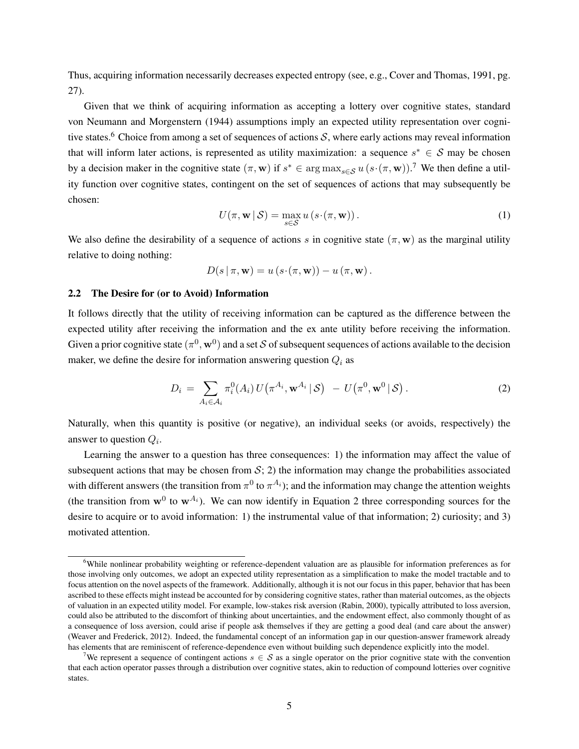Thus, acquiring information necessarily decreases expected entropy (see, e.g., Cover and Thomas, 1991, pg. 27).

Given that we think of acquiring information as accepting a lottery over cognitive states, standard von Neumann and Morgenstern (1944) assumptions imply an expected utility representation over cognitive states.<sup>6</sup> Choice from among a set of sequences of actions  $S$ , where early actions may reveal information that will inform later actions, is represented as utility maximization: a sequence  $s^* \in S$  may be chosen by a decision maker in the cognitive state  $(\pi, \mathbf{w})$  if  $s^* \in \arg \max_{s \in \mathcal{S}} u (s \cdot (\pi, \mathbf{w}))$ .<sup>7</sup> We then define a utility function over cognitive states, contingent on the set of sequences of actions that may subsequently be chosen:

$$
U(\pi, \mathbf{w} \mid \mathcal{S}) = \max_{s \in \mathcal{S}} u\left(s \cdot (\pi, \mathbf{w})\right). \tag{1}
$$

We also define the desirability of a sequence of actions s in cognitive state  $(\pi, \mathbf{w})$  as the marginal utility relative to doing nothing:

$$
D(s | \pi, \mathbf{w}) = u (s \cdot (\pi, \mathbf{w})) - u (\pi, \mathbf{w}).
$$

#### 2.2 The Desire for (or to Avoid) Information

It follows directly that the utility of receiving information can be captured as the difference between the expected utility after receiving the information and the ex ante utility before receiving the information. Given a prior cognitive state  $(\pi^0, w^0)$  and a set S of subsequent sequences of actions available to the decision maker, we define the desire for information answering question  $Q_i$  as

$$
D_i = \sum_{A_i \in \mathcal{A}_i} \pi_i^0(A_i) U(\pi^{A_i}, \mathbf{w}^{A_i} | \mathcal{S}) - U(\pi^0, \mathbf{w}^0 | \mathcal{S}). \tag{2}
$$

Naturally, when this quantity is positive (or negative), an individual seeks (or avoids, respectively) the answer to question  $Q_i$ .

Learning the answer to a question has three consequences: 1) the information may affect the value of subsequent actions that may be chosen from  $S$ ; 2) the information may change the probabilities associated with different answers (the transition from  $\pi^0$  to  $\pi^{A_i}$ ); and the information may change the attention weights (the transition from  $w^0$  to  $w^{A_i}$ ). We can now identify in Equation 2 three corresponding sources for the desire to acquire or to avoid information: 1) the instrumental value of that information; 2) curiosity; and 3) motivated attention.

<sup>&</sup>lt;sup>6</sup>While nonlinear probability weighting or reference-dependent valuation are as plausible for information preferences as for those involving only outcomes, we adopt an expected utility representation as a simplification to make the model tractable and to focus attention on the novel aspects of the framework. Additionally, although it is not our focus in this paper, behavior that has been ascribed to these effects might instead be accounted for by considering cognitive states, rather than material outcomes, as the objects of valuation in an expected utility model. For example, low-stakes risk aversion (Rabin, 2000), typically attributed to loss aversion, could also be attributed to the discomfort of thinking about uncertainties, and the endowment effect, also commonly thought of as a consequence of loss aversion, could arise if people ask themselves if they are getting a good deal (and care about the answer) (Weaver and Frederick, 2012). Indeed, the fundamental concept of an information gap in our question-answer framework already has elements that are reminiscent of reference-dependence even without building such dependence explicitly into the model.

<sup>&</sup>lt;sup>7</sup>We represent a sequence of contingent actions  $s \in S$  as a single operator on the prior cognitive state with the convention that each action operator passes through a distribution over cognitive states, akin to reduction of compound lotteries over cognitive states.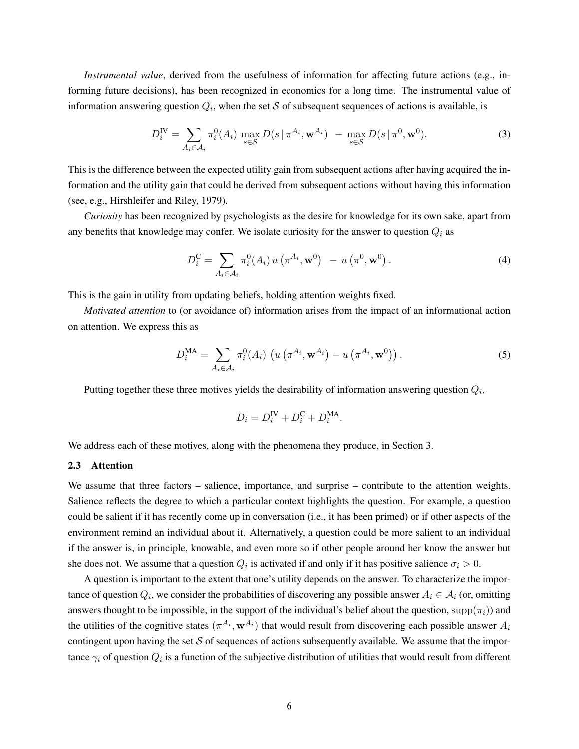*Instrumental value*, derived from the usefulness of information for affecting future actions (e.g., informing future decisions), has been recognized in economics for a long time. The instrumental value of information answering question  $Q_i$ , when the set S of subsequent sequences of actions is available, is

$$
D_i^{\text{IV}} = \sum_{A_i \in \mathcal{A}_i} \pi_i^0(A_i) \max_{s \in \mathcal{S}} D(s \,|\, \pi^{A_i}, \mathbf{w}^{A_i}) - \max_{s \in \mathcal{S}} D(s \,|\, \pi^0, \mathbf{w}^0). \tag{3}
$$

This is the difference between the expected utility gain from subsequent actions after having acquired the information and the utility gain that could be derived from subsequent actions without having this information (see, e.g., Hirshleifer and Riley, 1979).

*Curiosity* has been recognized by psychologists as the desire for knowledge for its own sake, apart from any benefits that knowledge may confer. We isolate curiosity for the answer to question  $Q_i$  as

$$
D_i^{\mathcal{C}} = \sum_{A_i \in \mathcal{A}_i} \pi_i^0(A_i) u\left(\pi^{A_i}, \mathbf{w}^0\right) - u\left(\pi^0, \mathbf{w}^0\right). \tag{4}
$$

This is the gain in utility from updating beliefs, holding attention weights fixed.

*Motivated attention* to (or avoidance of) information arises from the impact of an informational action on attention. We express this as

$$
D_i^{\text{MA}} = \sum_{A_i \in \mathcal{A}_i} \pi_i^0(A_i) \left( u\left(\pi^{A_i}, \mathbf{w}^{A_i}\right) - u\left(\pi^{A_i}, \mathbf{w}^0\right) \right). \tag{5}
$$

Putting together these three motives yields the desirability of information answering question  $Q_i$ ,

$$
D_i = D_i^{\text{IV}} + D_i^{\text{C}} + D_i^{\text{MA}}.
$$

We address each of these motives, along with the phenomena they produce, in Section 3.

#### 2.3 Attention

We assume that three factors – salience, importance, and surprise – contribute to the attention weights. Salience reflects the degree to which a particular context highlights the question. For example, a question could be salient if it has recently come up in conversation (i.e., it has been primed) or if other aspects of the environment remind an individual about it. Alternatively, a question could be more salient to an individual if the answer is, in principle, knowable, and even more so if other people around her know the answer but she does not. We assume that a question  $Q_i$  is activated if and only if it has positive salience  $\sigma_i > 0$ .

A question is important to the extent that one's utility depends on the answer. To characterize the importance of question  $Q_i$ , we consider the probabilities of discovering any possible answer  $A_i \in \mathcal{A}_i$  (or, omitting answers thought to be impossible, in the support of the individual's belief about the question, supp $(\pi_i)$ ) and the utilities of the cognitive states  $(\pi^{A_i}, \mathbf{w}^{A_i})$  that would result from discovering each possible answer  $A_i$ contingent upon having the set  $S$  of sequences of actions subsequently available. We assume that the importance  $\gamma_i$  of question  $Q_i$  is a function of the subjective distribution of utilities that would result from different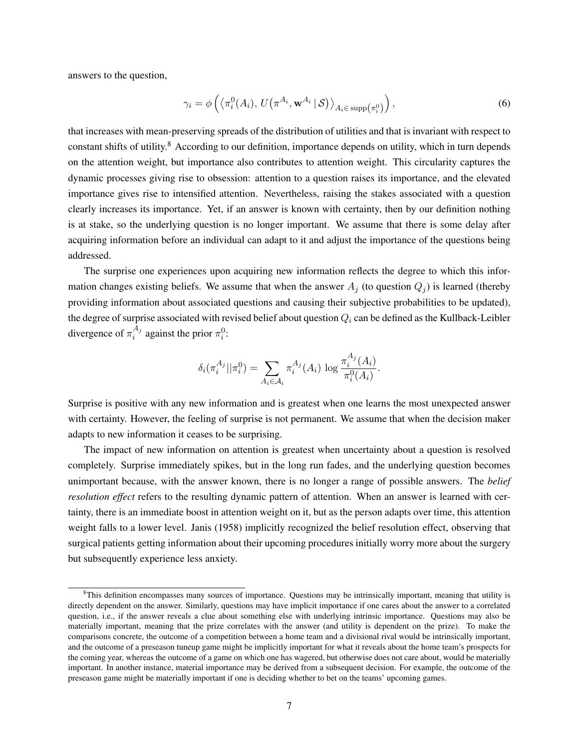answers to the question,

$$
\gamma_i = \phi\left(\left\langle \pi_i^0(A_i), U\big(\pi^{A_i}, \mathbf{w}^{A_i} \,|\, \mathcal{S}\big) \right\rangle_{A_i \in \text{supp}\left(\pi_i^0\right)}\right),\tag{6}
$$

that increases with mean-preserving spreads of the distribution of utilities and that is invariant with respect to constant shifts of utility.<sup>8</sup> According to our definition, importance depends on utility, which in turn depends on the attention weight, but importance also contributes to attention weight. This circularity captures the dynamic processes giving rise to obsession: attention to a question raises its importance, and the elevated importance gives rise to intensified attention. Nevertheless, raising the stakes associated with a question clearly increases its importance. Yet, if an answer is known with certainty, then by our definition nothing is at stake, so the underlying question is no longer important. We assume that there is some delay after acquiring information before an individual can adapt to it and adjust the importance of the questions being addressed.

The surprise one experiences upon acquiring new information reflects the degree to which this information changes existing beliefs. We assume that when the answer  $A_i$  (to question  $Q_i$ ) is learned (thereby providing information about associated questions and causing their subjective probabilities to be updated), the degree of surprise associated with revised belief about question  $Q_i$  can be defined as the Kullback-Leibler divergence of  $\pi_i^{A_j}$  $i^{A_j}$  against the prior  $\pi_i^0$ :

$$
\delta_i(\pi_i^{A_j}||\pi_i^0) = \sum_{A_i \in \mathcal{A}_i} \pi_i^{A_j}(A_i) \log \frac{\pi_i^{A_j}(A_i)}{\pi_i^0(A_i)}.
$$

Surprise is positive with any new information and is greatest when one learns the most unexpected answer with certainty. However, the feeling of surprise is not permanent. We assume that when the decision maker adapts to new information it ceases to be surprising.

The impact of new information on attention is greatest when uncertainty about a question is resolved completely. Surprise immediately spikes, but in the long run fades, and the underlying question becomes unimportant because, with the answer known, there is no longer a range of possible answers. The *belief resolution effect* refers to the resulting dynamic pattern of attention. When an answer is learned with certainty, there is an immediate boost in attention weight on it, but as the person adapts over time, this attention weight falls to a lower level. Janis (1958) implicitly recognized the belief resolution effect, observing that surgical patients getting information about their upcoming procedures initially worry more about the surgery but subsequently experience less anxiety.

 ${}^8$ This definition encompasses many sources of importance. Questions may be intrinsically important, meaning that utility is directly dependent on the answer. Similarly, questions may have implicit importance if one cares about the answer to a correlated question, i.e., if the answer reveals a clue about something else with underlying intrinsic importance. Questions may also be materially important, meaning that the prize correlates with the answer (and utility is dependent on the prize). To make the comparisons concrete, the outcome of a competition between a home team and a divisional rival would be intrinsically important, and the outcome of a preseason tuneup game might be implicitly important for what it reveals about the home team's prospects for the coming year, whereas the outcome of a game on which one has wagered, but otherwise does not care about, would be materially important. In another instance, material importance may be derived from a subsequent decision. For example, the outcome of the preseason game might be materially important if one is deciding whether to bet on the teams' upcoming games.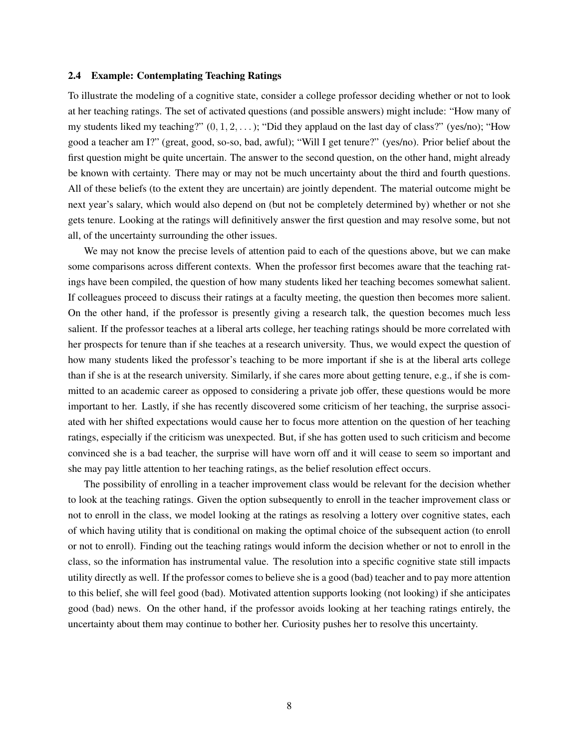#### 2.4 Example: Contemplating Teaching Ratings

To illustrate the modeling of a cognitive state, consider a college professor deciding whether or not to look at her teaching ratings. The set of activated questions (and possible answers) might include: "How many of my students liked my teaching?"  $(0, 1, 2, ...)$ ; "Did they applaud on the last day of class?" (yes/no); "How good a teacher am I?" (great, good, so-so, bad, awful); "Will I get tenure?" (yes/no). Prior belief about the first question might be quite uncertain. The answer to the second question, on the other hand, might already be known with certainty. There may or may not be much uncertainty about the third and fourth questions. All of these beliefs (to the extent they are uncertain) are jointly dependent. The material outcome might be next year's salary, which would also depend on (but not be completely determined by) whether or not she gets tenure. Looking at the ratings will definitively answer the first question and may resolve some, but not all, of the uncertainty surrounding the other issues.

We may not know the precise levels of attention paid to each of the questions above, but we can make some comparisons across different contexts. When the professor first becomes aware that the teaching ratings have been compiled, the question of how many students liked her teaching becomes somewhat salient. If colleagues proceed to discuss their ratings at a faculty meeting, the question then becomes more salient. On the other hand, if the professor is presently giving a research talk, the question becomes much less salient. If the professor teaches at a liberal arts college, her teaching ratings should be more correlated with her prospects for tenure than if she teaches at a research university. Thus, we would expect the question of how many students liked the professor's teaching to be more important if she is at the liberal arts college than if she is at the research university. Similarly, if she cares more about getting tenure, e.g., if she is committed to an academic career as opposed to considering a private job offer, these questions would be more important to her. Lastly, if she has recently discovered some criticism of her teaching, the surprise associated with her shifted expectations would cause her to focus more attention on the question of her teaching ratings, especially if the criticism was unexpected. But, if she has gotten used to such criticism and become convinced she is a bad teacher, the surprise will have worn off and it will cease to seem so important and she may pay little attention to her teaching ratings, as the belief resolution effect occurs.

The possibility of enrolling in a teacher improvement class would be relevant for the decision whether to look at the teaching ratings. Given the option subsequently to enroll in the teacher improvement class or not to enroll in the class, we model looking at the ratings as resolving a lottery over cognitive states, each of which having utility that is conditional on making the optimal choice of the subsequent action (to enroll or not to enroll). Finding out the teaching ratings would inform the decision whether or not to enroll in the class, so the information has instrumental value. The resolution into a specific cognitive state still impacts utility directly as well. If the professor comes to believe she is a good (bad) teacher and to pay more attention to this belief, she will feel good (bad). Motivated attention supports looking (not looking) if she anticipates good (bad) news. On the other hand, if the professor avoids looking at her teaching ratings entirely, the uncertainty about them may continue to bother her. Curiosity pushes her to resolve this uncertainty.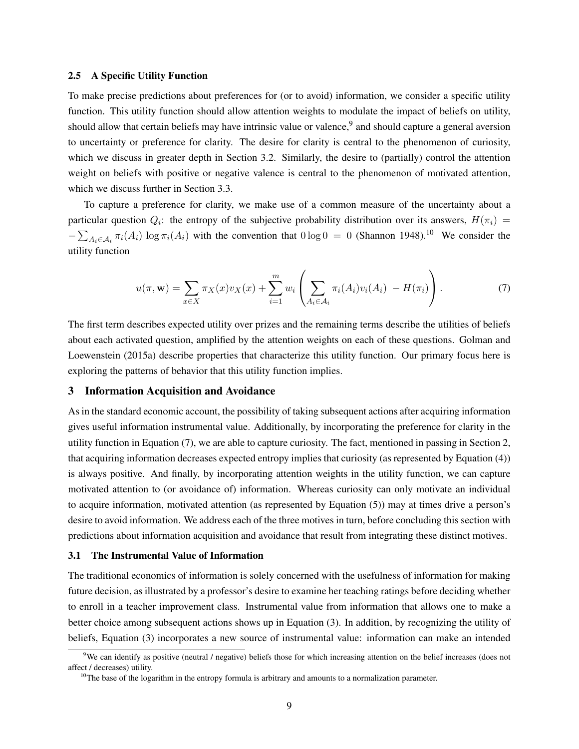#### 2.5 A Specific Utility Function

To make precise predictions about preferences for (or to avoid) information, we consider a specific utility function. This utility function should allow attention weights to modulate the impact of beliefs on utility, should allow that certain beliefs may have intrinsic value or valence, and should capture a general aversion to uncertainty or preference for clarity. The desire for clarity is central to the phenomenon of curiosity, which we discuss in greater depth in Section 3.2. Similarly, the desire to (partially) control the attention weight on beliefs with positive or negative valence is central to the phenomenon of motivated attention, which we discuss further in Section 3.3.

To capture a preference for clarity, we make use of a common measure of the uncertainty about a particular question  $Q_i$ : the entropy of the subjective probability distribution over its answers,  $H(\pi_i)$  =  $-\sum_{A_i \in \mathcal{A}_i} \pi_i(A_i) \log \pi_i(A_i)$  with the convention that  $0 \log 0 = 0$  (Shannon 1948).<sup>10</sup> We consider the utility function

$$
u(\pi, \mathbf{w}) = \sum_{x \in X} \pi_X(x) v_X(x) + \sum_{i=1}^m w_i \left( \sum_{A_i \in \mathcal{A}_i} \pi_i(A_i) v_i(A_i) - H(\pi_i) \right).
$$
 (7)

The first term describes expected utility over prizes and the remaining terms describe the utilities of beliefs about each activated question, amplified by the attention weights on each of these questions. Golman and Loewenstein (2015a) describe properties that characterize this utility function. Our primary focus here is exploring the patterns of behavior that this utility function implies.

#### 3 Information Acquisition and Avoidance

As in the standard economic account, the possibility of taking subsequent actions after acquiring information gives useful information instrumental value. Additionally, by incorporating the preference for clarity in the utility function in Equation (7), we are able to capture curiosity. The fact, mentioned in passing in Section 2, that acquiring information decreases expected entropy implies that curiosity (as represented by Equation (4)) is always positive. And finally, by incorporating attention weights in the utility function, we can capture motivated attention to (or avoidance of) information. Whereas curiosity can only motivate an individual to acquire information, motivated attention (as represented by Equation (5)) may at times drive a person's desire to avoid information. We address each of the three motives in turn, before concluding this section with predictions about information acquisition and avoidance that result from integrating these distinct motives.

#### 3.1 The Instrumental Value of Information

The traditional economics of information is solely concerned with the usefulness of information for making future decision, as illustrated by a professor's desire to examine her teaching ratings before deciding whether to enroll in a teacher improvement class. Instrumental value from information that allows one to make a better choice among subsequent actions shows up in Equation (3). In addition, by recognizing the utility of beliefs, Equation (3) incorporates a new source of instrumental value: information can make an intended

<sup>&</sup>lt;sup>9</sup>We can identify as positive (neutral / negative) beliefs those for which increasing attention on the belief increases (does not affect / decreases) utility.

 $10$ The base of the logarithm in the entropy formula is arbitrary and amounts to a normalization parameter.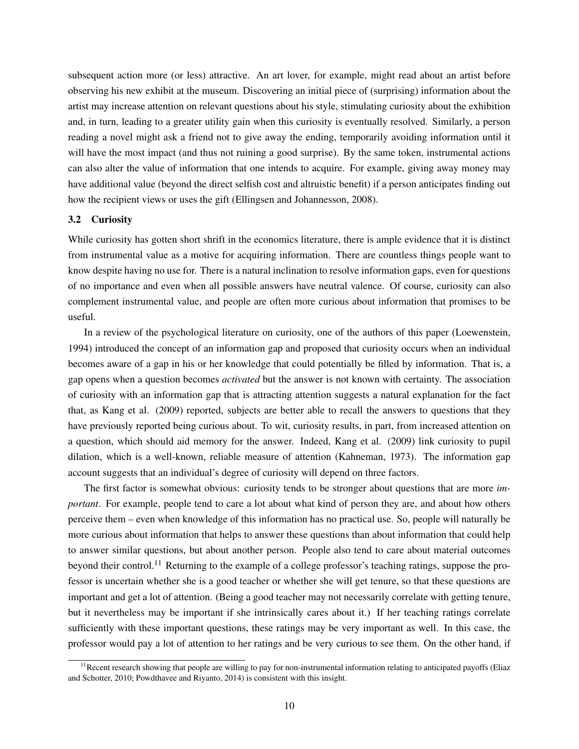subsequent action more (or less) attractive. An art lover, for example, might read about an artist before observing his new exhibit at the museum. Discovering an initial piece of (surprising) information about the artist may increase attention on relevant questions about his style, stimulating curiosity about the exhibition and, in turn, leading to a greater utility gain when this curiosity is eventually resolved. Similarly, a person reading a novel might ask a friend not to give away the ending, temporarily avoiding information until it will have the most impact (and thus not ruining a good surprise). By the same token, instrumental actions can also alter the value of information that one intends to acquire. For example, giving away money may have additional value (beyond the direct selfish cost and altruistic benefit) if a person anticipates finding out how the recipient views or uses the gift (Ellingsen and Johannesson, 2008).

#### 3.2 Curiosity

While curiosity has gotten short shrift in the economics literature, there is ample evidence that it is distinct from instrumental value as a motive for acquiring information. There are countless things people want to know despite having no use for. There is a natural inclination to resolve information gaps, even for questions of no importance and even when all possible answers have neutral valence. Of course, curiosity can also complement instrumental value, and people are often more curious about information that promises to be useful.

In a review of the psychological literature on curiosity, one of the authors of this paper (Loewenstein, 1994) introduced the concept of an information gap and proposed that curiosity occurs when an individual becomes aware of a gap in his or her knowledge that could potentially be filled by information. That is, a gap opens when a question becomes *activated* but the answer is not known with certainty. The association of curiosity with an information gap that is attracting attention suggests a natural explanation for the fact that, as Kang et al. (2009) reported, subjects are better able to recall the answers to questions that they have previously reported being curious about. To wit, curiosity results, in part, from increased attention on a question, which should aid memory for the answer. Indeed, Kang et al. (2009) link curiosity to pupil dilation, which is a well-known, reliable measure of attention (Kahneman, 1973). The information gap account suggests that an individual's degree of curiosity will depend on three factors.

The first factor is somewhat obvious: curiosity tends to be stronger about questions that are more *important*. For example, people tend to care a lot about what kind of person they are, and about how others perceive them – even when knowledge of this information has no practical use. So, people will naturally be more curious about information that helps to answer these questions than about information that could help to answer similar questions, but about another person. People also tend to care about material outcomes beyond their control.<sup>11</sup> Returning to the example of a college professor's teaching ratings, suppose the professor is uncertain whether she is a good teacher or whether she will get tenure, so that these questions are important and get a lot of attention. (Being a good teacher may not necessarily correlate with getting tenure, but it nevertheless may be important if she intrinsically cares about it.) If her teaching ratings correlate sufficiently with these important questions, these ratings may be very important as well. In this case, the professor would pay a lot of attention to her ratings and be very curious to see them. On the other hand, if

<sup>&</sup>lt;sup>11</sup> Recent research showing that people are willing to pay for non-instrumental information relating to anticipated payoffs (Eliaz and Schotter, 2010; Powdthavee and Riyanto, 2014) is consistent with this insight.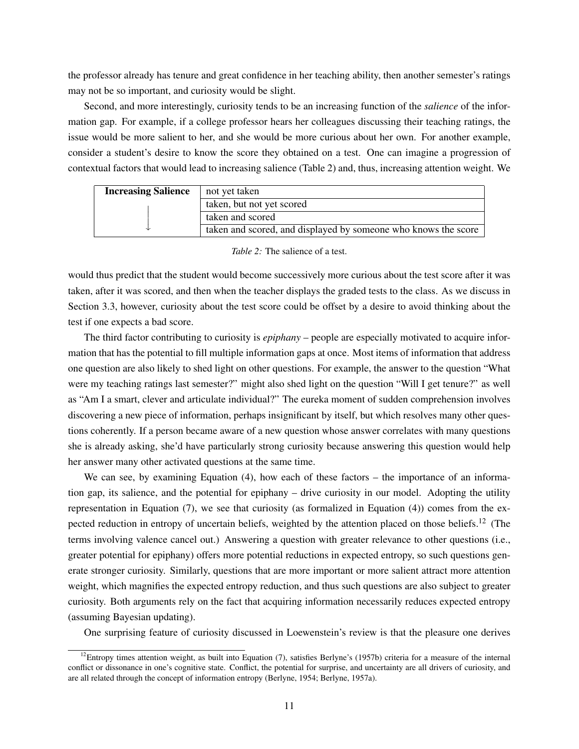the professor already has tenure and great confidence in her teaching ability, then another semester's ratings may not be so important, and curiosity would be slight.

Second, and more interestingly, curiosity tends to be an increasing function of the *salience* of the information gap. For example, if a college professor hears her colleagues discussing their teaching ratings, the issue would be more salient to her, and she would be more curious about her own. For another example, consider a student's desire to know the score they obtained on a test. One can imagine a progression of contextual factors that would lead to increasing salience (Table 2) and, thus, increasing attention weight. We

| <b>Increasing Salience</b> | not yet taken                                                  |  |
|----------------------------|----------------------------------------------------------------|--|
|                            | taken, but not yet scored                                      |  |
|                            | taken and scored                                               |  |
| ◡                          | taken and scored, and displayed by someone who knows the score |  |

#### *Table 2:* The salience of a test.

would thus predict that the student would become successively more curious about the test score after it was taken, after it was scored, and then when the teacher displays the graded tests to the class. As we discuss in Section 3.3, however, curiosity about the test score could be offset by a desire to avoid thinking about the test if one expects a bad score.

The third factor contributing to curiosity is *epiphany* – people are especially motivated to acquire information that has the potential to fill multiple information gaps at once. Most items of information that address one question are also likely to shed light on other questions. For example, the answer to the question "What were my teaching ratings last semester?" might also shed light on the question "Will I get tenure?" as well as "Am I a smart, clever and articulate individual?" The eureka moment of sudden comprehension involves discovering a new piece of information, perhaps insignificant by itself, but which resolves many other questions coherently. If a person became aware of a new question whose answer correlates with many questions she is already asking, she'd have particularly strong curiosity because answering this question would help her answer many other activated questions at the same time.

We can see, by examining Equation (4), how each of these factors – the importance of an information gap, its salience, and the potential for epiphany – drive curiosity in our model. Adopting the utility representation in Equation (7), we see that curiosity (as formalized in Equation (4)) comes from the expected reduction in entropy of uncertain beliefs, weighted by the attention placed on those beliefs.<sup>12</sup> (The terms involving valence cancel out.) Answering a question with greater relevance to other questions (i.e., greater potential for epiphany) offers more potential reductions in expected entropy, so such questions generate stronger curiosity. Similarly, questions that are more important or more salient attract more attention weight, which magnifies the expected entropy reduction, and thus such questions are also subject to greater curiosity. Both arguments rely on the fact that acquiring information necessarily reduces expected entropy (assuming Bayesian updating).

One surprising feature of curiosity discussed in Loewenstein's review is that the pleasure one derives

<sup>&</sup>lt;sup>12</sup>Entropy times attention weight, as built into Equation (7), satisfies Berlyne's (1957b) criteria for a measure of the internal conflict or dissonance in one's cognitive state. Conflict, the potential for surprise, and uncertainty are all drivers of curiosity, and are all related through the concept of information entropy (Berlyne, 1954; Berlyne, 1957a).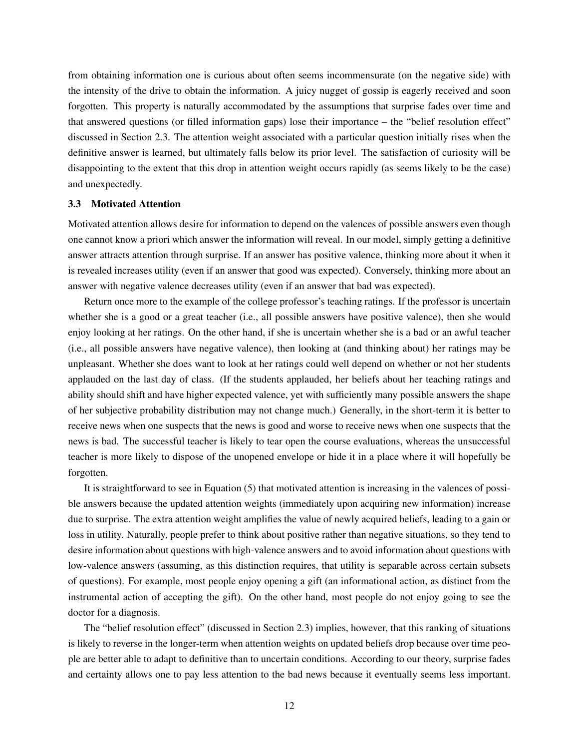from obtaining information one is curious about often seems incommensurate (on the negative side) with the intensity of the drive to obtain the information. A juicy nugget of gossip is eagerly received and soon forgotten. This property is naturally accommodated by the assumptions that surprise fades over time and that answered questions (or filled information gaps) lose their importance – the "belief resolution effect" discussed in Section 2.3. The attention weight associated with a particular question initially rises when the definitive answer is learned, but ultimately falls below its prior level. The satisfaction of curiosity will be disappointing to the extent that this drop in attention weight occurs rapidly (as seems likely to be the case) and unexpectedly.

#### 3.3 Motivated Attention

Motivated attention allows desire for information to depend on the valences of possible answers even though one cannot know a priori which answer the information will reveal. In our model, simply getting a definitive answer attracts attention through surprise. If an answer has positive valence, thinking more about it when it is revealed increases utility (even if an answer that good was expected). Conversely, thinking more about an answer with negative valence decreases utility (even if an answer that bad was expected).

Return once more to the example of the college professor's teaching ratings. If the professor is uncertain whether she is a good or a great teacher (i.e., all possible answers have positive valence), then she would enjoy looking at her ratings. On the other hand, if she is uncertain whether she is a bad or an awful teacher (i.e., all possible answers have negative valence), then looking at (and thinking about) her ratings may be unpleasant. Whether she does want to look at her ratings could well depend on whether or not her students applauded on the last day of class. (If the students applauded, her beliefs about her teaching ratings and ability should shift and have higher expected valence, yet with sufficiently many possible answers the shape of her subjective probability distribution may not change much.) Generally, in the short-term it is better to receive news when one suspects that the news is good and worse to receive news when one suspects that the news is bad. The successful teacher is likely to tear open the course evaluations, whereas the unsuccessful teacher is more likely to dispose of the unopened envelope or hide it in a place where it will hopefully be forgotten.

It is straightforward to see in Equation (5) that motivated attention is increasing in the valences of possible answers because the updated attention weights (immediately upon acquiring new information) increase due to surprise. The extra attention weight amplifies the value of newly acquired beliefs, leading to a gain or loss in utility. Naturally, people prefer to think about positive rather than negative situations, so they tend to desire information about questions with high-valence answers and to avoid information about questions with low-valence answers (assuming, as this distinction requires, that utility is separable across certain subsets of questions). For example, most people enjoy opening a gift (an informational action, as distinct from the instrumental action of accepting the gift). On the other hand, most people do not enjoy going to see the doctor for a diagnosis.

The "belief resolution effect" (discussed in Section 2.3) implies, however, that this ranking of situations is likely to reverse in the longer-term when attention weights on updated beliefs drop because over time people are better able to adapt to definitive than to uncertain conditions. According to our theory, surprise fades and certainty allows one to pay less attention to the bad news because it eventually seems less important.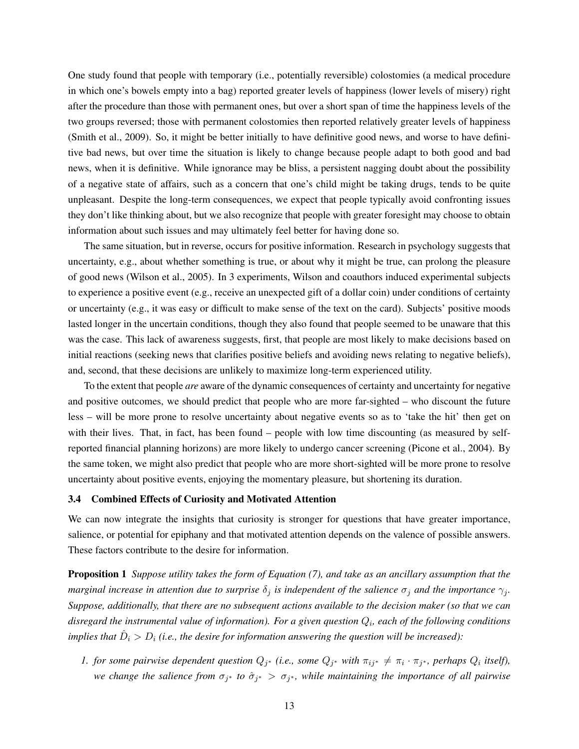One study found that people with temporary (i.e., potentially reversible) colostomies (a medical procedure in which one's bowels empty into a bag) reported greater levels of happiness (lower levels of misery) right after the procedure than those with permanent ones, but over a short span of time the happiness levels of the two groups reversed; those with permanent colostomies then reported relatively greater levels of happiness (Smith et al., 2009). So, it might be better initially to have definitive good news, and worse to have definitive bad news, but over time the situation is likely to change because people adapt to both good and bad news, when it is definitive. While ignorance may be bliss, a persistent nagging doubt about the possibility of a negative state of affairs, such as a concern that one's child might be taking drugs, tends to be quite unpleasant. Despite the long-term consequences, we expect that people typically avoid confronting issues they don't like thinking about, but we also recognize that people with greater foresight may choose to obtain information about such issues and may ultimately feel better for having done so.

The same situation, but in reverse, occurs for positive information. Research in psychology suggests that uncertainty, e.g., about whether something is true, or about why it might be true, can prolong the pleasure of good news (Wilson et al., 2005). In 3 experiments, Wilson and coauthors induced experimental subjects to experience a positive event (e.g., receive an unexpected gift of a dollar coin) under conditions of certainty or uncertainty (e.g., it was easy or difficult to make sense of the text on the card). Subjects' positive moods lasted longer in the uncertain conditions, though they also found that people seemed to be unaware that this was the case. This lack of awareness suggests, first, that people are most likely to make decisions based on initial reactions (seeking news that clarifies positive beliefs and avoiding news relating to negative beliefs), and, second, that these decisions are unlikely to maximize long-term experienced utility.

To the extent that people *are* aware of the dynamic consequences of certainty and uncertainty for negative and positive outcomes, we should predict that people who are more far-sighted – who discount the future less – will be more prone to resolve uncertainty about negative events so as to 'take the hit' then get on with their lives. That, in fact, has been found – people with low time discounting (as measured by selfreported financial planning horizons) are more likely to undergo cancer screening (Picone et al., 2004). By the same token, we might also predict that people who are more short-sighted will be more prone to resolve uncertainty about positive events, enjoying the momentary pleasure, but shortening its duration.

#### 3.4 Combined Effects of Curiosity and Motivated Attention

We can now integrate the insights that curiosity is stronger for questions that have greater importance, salience, or potential for epiphany and that motivated attention depends on the valence of possible answers. These factors contribute to the desire for information.

Proposition 1 *Suppose utility takes the form of Equation (7), and take as an ancillary assumption that the marginal increase in attention due to surprise*  $\delta_i$  *is independent of the salience*  $\sigma_i$  *and the importance*  $\gamma_i$ *. Suppose, additionally, that there are no subsequent actions available to the decision maker (so that we can*  $d$ isregard the instrumental value of information). For a given question  $Q_i$ , each of the following conditions implies that  $\hat{D}_i > D_i$  (i.e., the desire for information answering the question will be increased):

*1. for some pairwise dependent question*  $Q_{j^*}$  (*i.e., some*  $Q_{j^*}$  *with*  $\pi_{ij^*} \neq \pi_i \cdot \pi_{j^*}$ *, perhaps*  $Q_i$  *itself*), *we change the salience from*  $\sigma_{j^*}$  to  $\hat{\sigma}_{j^*} > \sigma_{j^*}$ , while maintaining the importance of all pairwise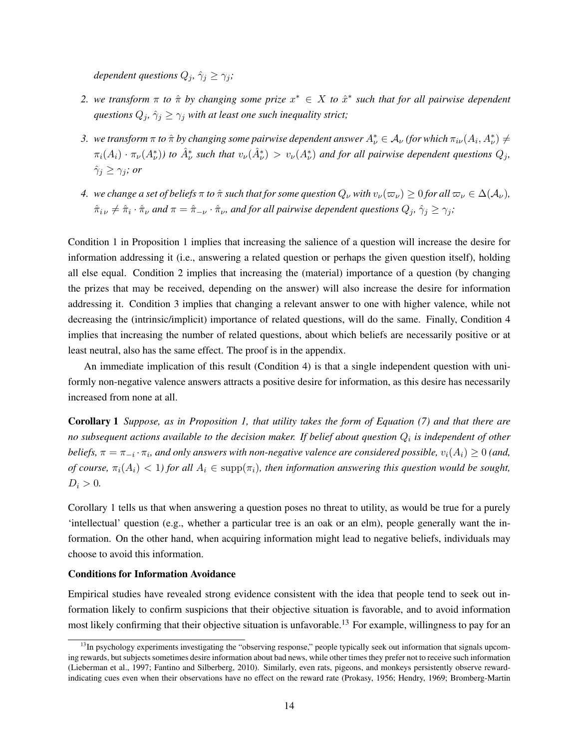*dependent questions*  $Q_j$ ,  $\hat{\gamma}_j \geq \gamma_j$ ;

- 2. we transform  $\pi$  to  $\hat{\pi}$  by changing some prize  $x^* \in X$  to  $\hat{x}^*$  such that for all pairwise dependent *questions*  $Q_j$ ,  $\hat{\gamma}_j \geq \gamma_j$  *with at least one such inequality strict;*
- 3. we transform  $\pi$  to  $\hat{\pi}$  by changing some pairwise dependent answer  $A_\nu^*\in\mathcal{A}_\nu$  (for which  $\pi_{i\nu}(A_i,A_\nu^*)\neq0$  $\pi_i(A_i)\cdot\pi_\nu(A_\nu^*)$ ) to  $\hat{A}_\nu^*$  such that  $v_\nu(\hat{A}_\nu^*) > v_\nu(A_\nu^*)$  and for all pairwise dependent questions  $Q_j$ ,  $\hat{\gamma}_i > \gamma_i$ *; or*
- *4.* we change a set of beliefs  $\pi$  *to*  $\hat{\pi}$  *such that for some question*  $Q_{\nu}$  *with*  $v_{\nu}(\varpi_{\nu}) \ge 0$  *for all*  $\varpi_{\nu} \in \Delta(\mathcal{A}_{\nu})$ *,*  $\hat{\pi}_{i\nu}\neq \hat{\pi}_{i}\cdot\hat{\pi}_{\nu}$  and  $\pi=\hat{\pi}_{-\nu}\cdot\hat{\pi}_{\nu}$ , and for all pairwise dependent questions  $Q_j$ ,  $\hat{\gamma}_j\geq\gamma_j$ ;

Condition 1 in Proposition 1 implies that increasing the salience of a question will increase the desire for information addressing it (i.e., answering a related question or perhaps the given question itself), holding all else equal. Condition 2 implies that increasing the (material) importance of a question (by changing the prizes that may be received, depending on the answer) will also increase the desire for information addressing it. Condition 3 implies that changing a relevant answer to one with higher valence, while not decreasing the (intrinsic/implicit) importance of related questions, will do the same. Finally, Condition 4 implies that increasing the number of related questions, about which beliefs are necessarily positive or at least neutral, also has the same effect. The proof is in the appendix.

An immediate implication of this result (Condition 4) is that a single independent question with uniformly non-negative valence answers attracts a positive desire for information, as this desire has necessarily increased from none at all.

Corollary 1 *Suppose, as in Proposition 1, that utility takes the form of Equation (7) and that there are*  $n$ o subsequent actions available to the decision maker. If belief about question  $Q_i$  is independent of other *beliefs,*  $\pi = \pi_{-i} \cdot \pi_i$ *, and only answers with non-negative valence are considered possible,*  $v_i(A_i) \geq 0$  *(and, of course,*  $\pi_i(A_i) < 1$  *for all*  $A_i \in \text{supp}(\pi_i)$ *, then information answering this question would be sought,*  $D_i > 0$ .

Corollary 1 tells us that when answering a question poses no threat to utility, as would be true for a purely 'intellectual' question (e.g., whether a particular tree is an oak or an elm), people generally want the information. On the other hand, when acquiring information might lead to negative beliefs, individuals may choose to avoid this information.

#### Conditions for Information Avoidance

Empirical studies have revealed strong evidence consistent with the idea that people tend to seek out information likely to confirm suspicions that their objective situation is favorable, and to avoid information most likely confirming that their objective situation is unfavorable.<sup>13</sup> For example, willingness to pay for an

 $13$ In psychology experiments investigating the "observing response," people typically seek out information that signals upcoming rewards, but subjects sometimes desire information about bad news, while other times they prefer not to receive such information (Lieberman et al., 1997; Fantino and Silberberg, 2010). Similarly, even rats, pigeons, and monkeys persistently observe rewardindicating cues even when their observations have no effect on the reward rate (Prokasy, 1956; Hendry, 1969; Bromberg-Martin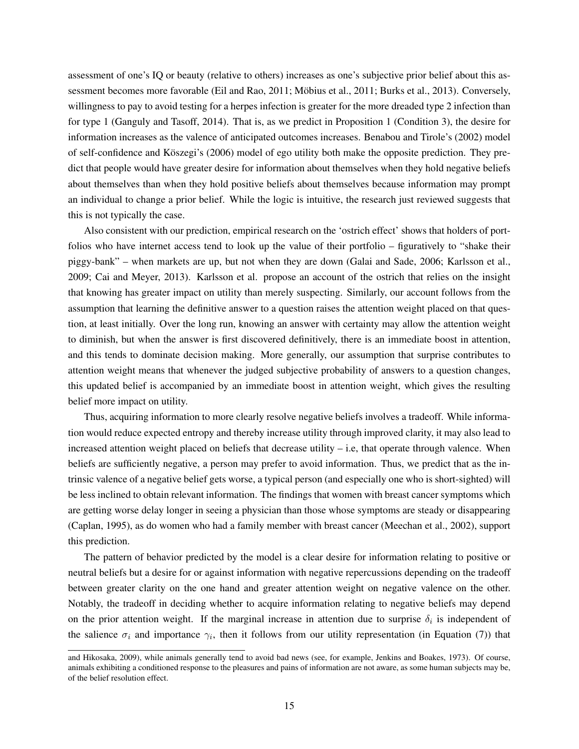assessment of one's IQ or beauty (relative to others) increases as one's subjective prior belief about this assessment becomes more favorable (Eil and Rao, 2011; Möbius et al., 2011; Burks et al., 2013). Conversely, willingness to pay to avoid testing for a herpes infection is greater for the more dreaded type 2 infection than for type 1 (Ganguly and Tasoff, 2014). That is, as we predict in Proposition 1 (Condition 3), the desire for information increases as the valence of anticipated outcomes increases. Benabou and Tirole's (2002) model of self-confidence and Köszegi's (2006) model of ego utility both make the opposite prediction. They predict that people would have greater desire for information about themselves when they hold negative beliefs about themselves than when they hold positive beliefs about themselves because information may prompt an individual to change a prior belief. While the logic is intuitive, the research just reviewed suggests that this is not typically the case.

Also consistent with our prediction, empirical research on the 'ostrich effect' shows that holders of portfolios who have internet access tend to look up the value of their portfolio – figuratively to "shake their piggy-bank" – when markets are up, but not when they are down (Galai and Sade, 2006; Karlsson et al., 2009; Cai and Meyer, 2013). Karlsson et al. propose an account of the ostrich that relies on the insight that knowing has greater impact on utility than merely suspecting. Similarly, our account follows from the assumption that learning the definitive answer to a question raises the attention weight placed on that question, at least initially. Over the long run, knowing an answer with certainty may allow the attention weight to diminish, but when the answer is first discovered definitively, there is an immediate boost in attention, and this tends to dominate decision making. More generally, our assumption that surprise contributes to attention weight means that whenever the judged subjective probability of answers to a question changes, this updated belief is accompanied by an immediate boost in attention weight, which gives the resulting belief more impact on utility.

Thus, acquiring information to more clearly resolve negative beliefs involves a tradeoff. While information would reduce expected entropy and thereby increase utility through improved clarity, it may also lead to increased attention weight placed on beliefs that decrease utility – i.e, that operate through valence. When beliefs are sufficiently negative, a person may prefer to avoid information. Thus, we predict that as the intrinsic valence of a negative belief gets worse, a typical person (and especially one who is short-sighted) will be less inclined to obtain relevant information. The findings that women with breast cancer symptoms which are getting worse delay longer in seeing a physician than those whose symptoms are steady or disappearing (Caplan, 1995), as do women who had a family member with breast cancer (Meechan et al., 2002), support this prediction.

The pattern of behavior predicted by the model is a clear desire for information relating to positive or neutral beliefs but a desire for or against information with negative repercussions depending on the tradeoff between greater clarity on the one hand and greater attention weight on negative valence on the other. Notably, the tradeoff in deciding whether to acquire information relating to negative beliefs may depend on the prior attention weight. If the marginal increase in attention due to surprise  $\delta_i$  is independent of the salience  $\sigma_i$  and importance  $\gamma_i$ , then it follows from our utility representation (in Equation (7)) that

and Hikosaka, 2009), while animals generally tend to avoid bad news (see, for example, Jenkins and Boakes, 1973). Of course, animals exhibiting a conditioned response to the pleasures and pains of information are not aware, as some human subjects may be, of the belief resolution effect.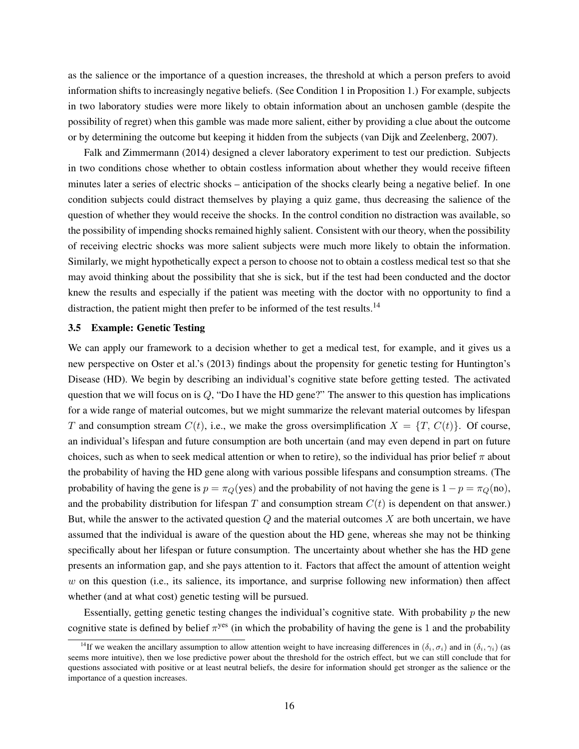as the salience or the importance of a question increases, the threshold at which a person prefers to avoid information shifts to increasingly negative beliefs. (See Condition 1 in Proposition 1.) For example, subjects in two laboratory studies were more likely to obtain information about an unchosen gamble (despite the possibility of regret) when this gamble was made more salient, either by providing a clue about the outcome or by determining the outcome but keeping it hidden from the subjects (van Dijk and Zeelenberg, 2007).

Falk and Zimmermann (2014) designed a clever laboratory experiment to test our prediction. Subjects in two conditions chose whether to obtain costless information about whether they would receive fifteen minutes later a series of electric shocks – anticipation of the shocks clearly being a negative belief. In one condition subjects could distract themselves by playing a quiz game, thus decreasing the salience of the question of whether they would receive the shocks. In the control condition no distraction was available, so the possibility of impending shocks remained highly salient. Consistent with our theory, when the possibility of receiving electric shocks was more salient subjects were much more likely to obtain the information. Similarly, we might hypothetically expect a person to choose not to obtain a costless medical test so that she may avoid thinking about the possibility that she is sick, but if the test had been conducted and the doctor knew the results and especially if the patient was meeting with the doctor with no opportunity to find a distraction, the patient might then prefer to be informed of the test results.<sup>14</sup>

## 3.5 Example: Genetic Testing

We can apply our framework to a decision whether to get a medical test, for example, and it gives us a new perspective on Oster et al.'s (2013) findings about the propensity for genetic testing for Huntington's Disease (HD). We begin by describing an individual's cognitive state before getting tested. The activated question that we will focus on is  $Q$ , "Do I have the HD gene?" The answer to this question has implications for a wide range of material outcomes, but we might summarize the relevant material outcomes by lifespan T and consumption stream  $C(t)$ , i.e., we make the gross oversimplification  $X = \{T, C(t)\}\$ . Of course, an individual's lifespan and future consumption are both uncertain (and may even depend in part on future choices, such as when to seek medical attention or when to retire), so the individual has prior belief  $\pi$  about the probability of having the HD gene along with various possible lifespans and consumption streams. (The probability of having the gene is  $p = \pi_Q(\text{yes})$  and the probability of not having the gene is  $1-p = \pi_Q(\text{no})$ , and the probability distribution for lifespan T and consumption stream  $C(t)$  is dependent on that answer.) But, while the answer to the activated question  $Q$  and the material outcomes  $X$  are both uncertain, we have assumed that the individual is aware of the question about the HD gene, whereas she may not be thinking specifically about her lifespan or future consumption. The uncertainty about whether she has the HD gene presents an information gap, and she pays attention to it. Factors that affect the amount of attention weight w on this question (i.e., its salience, its importance, and surprise following new information) then affect whether (and at what cost) genetic testing will be pursued.

Essentially, getting genetic testing changes the individual's cognitive state. With probability  $p$  the new cognitive state is defined by belief  $\pi$ <sup>yes</sup> (in which the probability of having the gene is 1 and the probability

<sup>&</sup>lt;sup>14</sup>If we weaken the ancillary assumption to allow attention weight to have increasing differences in  $(\delta_i, \sigma_i)$  and in  $(\delta_i, \gamma_i)$  (as seems more intuitive), then we lose predictive power about the threshold for the ostrich effect, but we can still conclude that for questions associated with positive or at least neutral beliefs, the desire for information should get stronger as the salience or the importance of a question increases.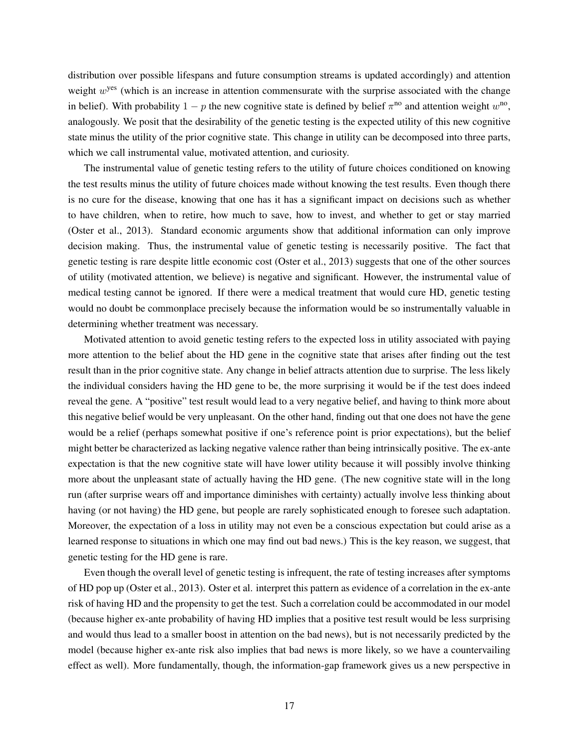distribution over possible lifespans and future consumption streams is updated accordingly) and attention weight  $w<sup>yes</sup>$  (which is an increase in attention commensurate with the surprise associated with the change in belief). With probability  $1 - p$  the new cognitive state is defined by belief  $\pi^{no}$  and attention weight  $w^{no}$ , analogously. We posit that the desirability of the genetic testing is the expected utility of this new cognitive state minus the utility of the prior cognitive state. This change in utility can be decomposed into three parts, which we call instrumental value, motivated attention, and curiosity.

The instrumental value of genetic testing refers to the utility of future choices conditioned on knowing the test results minus the utility of future choices made without knowing the test results. Even though there is no cure for the disease, knowing that one has it has a significant impact on decisions such as whether to have children, when to retire, how much to save, how to invest, and whether to get or stay married (Oster et al., 2013). Standard economic arguments show that additional information can only improve decision making. Thus, the instrumental value of genetic testing is necessarily positive. The fact that genetic testing is rare despite little economic cost (Oster et al., 2013) suggests that one of the other sources of utility (motivated attention, we believe) is negative and significant. However, the instrumental value of medical testing cannot be ignored. If there were a medical treatment that would cure HD, genetic testing would no doubt be commonplace precisely because the information would be so instrumentally valuable in determining whether treatment was necessary.

Motivated attention to avoid genetic testing refers to the expected loss in utility associated with paying more attention to the belief about the HD gene in the cognitive state that arises after finding out the test result than in the prior cognitive state. Any change in belief attracts attention due to surprise. The less likely the individual considers having the HD gene to be, the more surprising it would be if the test does indeed reveal the gene. A "positive" test result would lead to a very negative belief, and having to think more about this negative belief would be very unpleasant. On the other hand, finding out that one does not have the gene would be a relief (perhaps somewhat positive if one's reference point is prior expectations), but the belief might better be characterized as lacking negative valence rather than being intrinsically positive. The ex-ante expectation is that the new cognitive state will have lower utility because it will possibly involve thinking more about the unpleasant state of actually having the HD gene. (The new cognitive state will in the long run (after surprise wears off and importance diminishes with certainty) actually involve less thinking about having (or not having) the HD gene, but people are rarely sophisticated enough to foresee such adaptation. Moreover, the expectation of a loss in utility may not even be a conscious expectation but could arise as a learned response to situations in which one may find out bad news.) This is the key reason, we suggest, that genetic testing for the HD gene is rare.

Even though the overall level of genetic testing is infrequent, the rate of testing increases after symptoms of HD pop up (Oster et al., 2013). Oster et al. interpret this pattern as evidence of a correlation in the ex-ante risk of having HD and the propensity to get the test. Such a correlation could be accommodated in our model (because higher ex-ante probability of having HD implies that a positive test result would be less surprising and would thus lead to a smaller boost in attention on the bad news), but is not necessarily predicted by the model (because higher ex-ante risk also implies that bad news is more likely, so we have a countervailing effect as well). More fundamentally, though, the information-gap framework gives us a new perspective in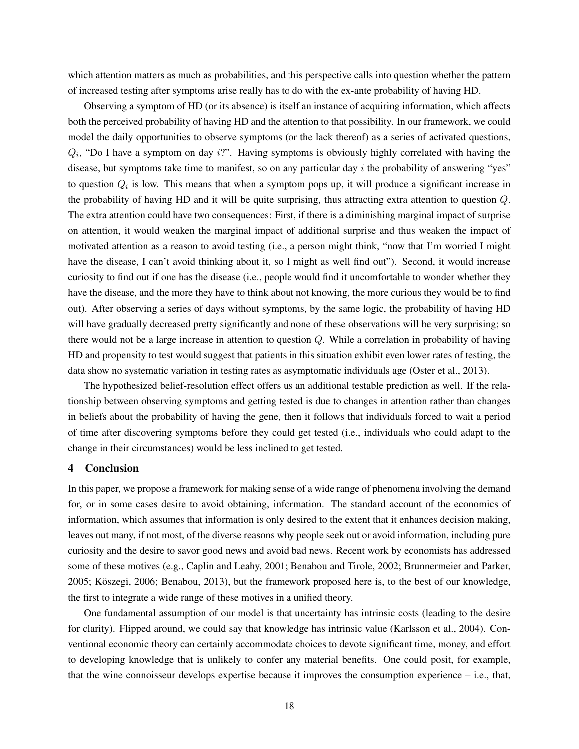which attention matters as much as probabilities, and this perspective calls into question whether the pattern of increased testing after symptoms arise really has to do with the ex-ante probability of having HD.

Observing a symptom of HD (or its absence) is itself an instance of acquiring information, which affects both the perceived probability of having HD and the attention to that possibility. In our framework, we could model the daily opportunities to observe symptoms (or the lack thereof) as a series of activated questions,  $Q_i$ , "Do I have a symptom on day i?". Having symptoms is obviously highly correlated with having the disease, but symptoms take time to manifest, so on any particular day i the probability of answering "yes" to question  $Q_i$  is low. This means that when a symptom pops up, it will produce a significant increase in the probability of having HD and it will be quite surprising, thus attracting extra attention to question Q. The extra attention could have two consequences: First, if there is a diminishing marginal impact of surprise on attention, it would weaken the marginal impact of additional surprise and thus weaken the impact of motivated attention as a reason to avoid testing (i.e., a person might think, "now that I'm worried I might have the disease, I can't avoid thinking about it, so I might as well find out"). Second, it would increase curiosity to find out if one has the disease (i.e., people would find it uncomfortable to wonder whether they have the disease, and the more they have to think about not knowing, the more curious they would be to find out). After observing a series of days without symptoms, by the same logic, the probability of having HD will have gradually decreased pretty significantly and none of these observations will be very surprising; so there would not be a large increase in attention to question Q. While a correlation in probability of having HD and propensity to test would suggest that patients in this situation exhibit even lower rates of testing, the data show no systematic variation in testing rates as asymptomatic individuals age (Oster et al., 2013).

The hypothesized belief-resolution effect offers us an additional testable prediction as well. If the relationship between observing symptoms and getting tested is due to changes in attention rather than changes in beliefs about the probability of having the gene, then it follows that individuals forced to wait a period of time after discovering symptoms before they could get tested (i.e., individuals who could adapt to the change in their circumstances) would be less inclined to get tested.

## 4 Conclusion

In this paper, we propose a framework for making sense of a wide range of phenomena involving the demand for, or in some cases desire to avoid obtaining, information. The standard account of the economics of information, which assumes that information is only desired to the extent that it enhances decision making, leaves out many, if not most, of the diverse reasons why people seek out or avoid information, including pure curiosity and the desire to savor good news and avoid bad news. Recent work by economists has addressed some of these motives (e.g., Caplin and Leahy, 2001; Benabou and Tirole, 2002; Brunnermeier and Parker, 2005; Köszegi, 2006; Benabou, 2013), but the framework proposed here is, to the best of our knowledge, the first to integrate a wide range of these motives in a unified theory.

One fundamental assumption of our model is that uncertainty has intrinsic costs (leading to the desire for clarity). Flipped around, we could say that knowledge has intrinsic value (Karlsson et al., 2004). Conventional economic theory can certainly accommodate choices to devote significant time, money, and effort to developing knowledge that is unlikely to confer any material benefits. One could posit, for example, that the wine connoisseur develops expertise because it improves the consumption experience – i.e., that,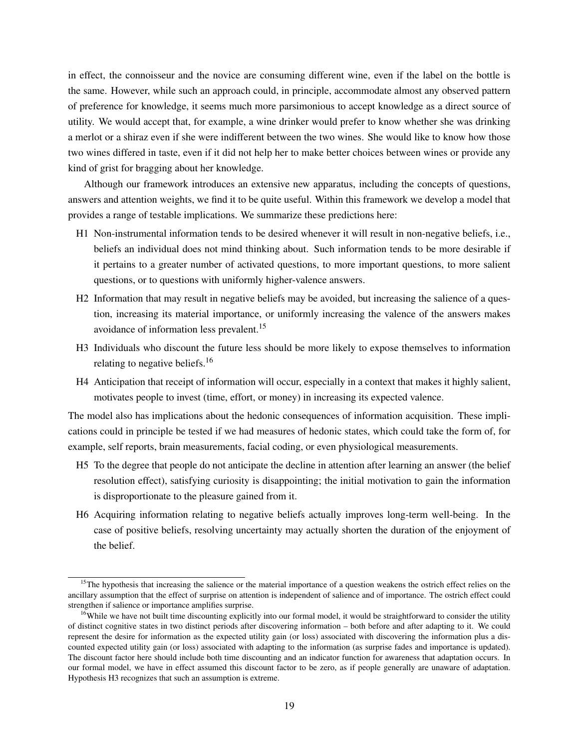in effect, the connoisseur and the novice are consuming different wine, even if the label on the bottle is the same. However, while such an approach could, in principle, accommodate almost any observed pattern of preference for knowledge, it seems much more parsimonious to accept knowledge as a direct source of utility. We would accept that, for example, a wine drinker would prefer to know whether she was drinking a merlot or a shiraz even if she were indifferent between the two wines. She would like to know how those two wines differed in taste, even if it did not help her to make better choices between wines or provide any kind of grist for bragging about her knowledge.

Although our framework introduces an extensive new apparatus, including the concepts of questions, answers and attention weights, we find it to be quite useful. Within this framework we develop a model that provides a range of testable implications. We summarize these predictions here:

- H1 Non-instrumental information tends to be desired whenever it will result in non-negative beliefs, i.e., beliefs an individual does not mind thinking about. Such information tends to be more desirable if it pertains to a greater number of activated questions, to more important questions, to more salient questions, or to questions with uniformly higher-valence answers.
- H2 Information that may result in negative beliefs may be avoided, but increasing the salience of a question, increasing its material importance, or uniformly increasing the valence of the answers makes avoidance of information less prevalent.<sup>15</sup>
- H3 Individuals who discount the future less should be more likely to expose themselves to information relating to negative beliefs.<sup>16</sup>
- H4 Anticipation that receipt of information will occur, especially in a context that makes it highly salient, motivates people to invest (time, effort, or money) in increasing its expected valence.

The model also has implications about the hedonic consequences of information acquisition. These implications could in principle be tested if we had measures of hedonic states, which could take the form of, for example, self reports, brain measurements, facial coding, or even physiological measurements.

- H5 To the degree that people do not anticipate the decline in attention after learning an answer (the belief resolution effect), satisfying curiosity is disappointing; the initial motivation to gain the information is disproportionate to the pleasure gained from it.
- H6 Acquiring information relating to negative beliefs actually improves long-term well-being. In the case of positive beliefs, resolving uncertainty may actually shorten the duration of the enjoyment of the belief.

<sup>&</sup>lt;sup>15</sup>The hypothesis that increasing the salience or the material importance of a question weakens the ostrich effect relies on the ancillary assumption that the effect of surprise on attention is independent of salience and of importance. The ostrich effect could strengthen if salience or importance amplifies surprise.

<sup>&</sup>lt;sup>16</sup>While we have not built time discounting explicitly into our formal model, it would be straightforward to consider the utility of distinct cognitive states in two distinct periods after discovering information – both before and after adapting to it. We could represent the desire for information as the expected utility gain (or loss) associated with discovering the information plus a discounted expected utility gain (or loss) associated with adapting to the information (as surprise fades and importance is updated). The discount factor here should include both time discounting and an indicator function for awareness that adaptation occurs. In our formal model, we have in effect assumed this discount factor to be zero, as if people generally are unaware of adaptation. Hypothesis H3 recognizes that such an assumption is extreme.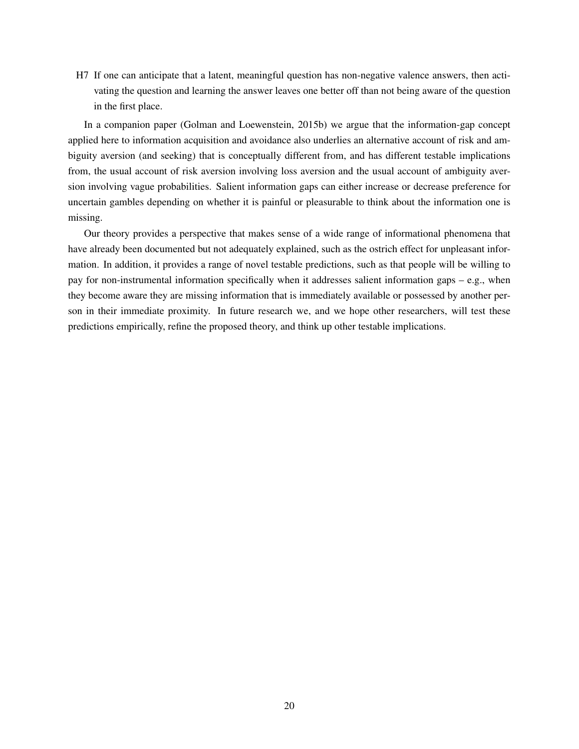H7 If one can anticipate that a latent, meaningful question has non-negative valence answers, then activating the question and learning the answer leaves one better off than not being aware of the question in the first place.

In a companion paper (Golman and Loewenstein, 2015b) we argue that the information-gap concept applied here to information acquisition and avoidance also underlies an alternative account of risk and ambiguity aversion (and seeking) that is conceptually different from, and has different testable implications from, the usual account of risk aversion involving loss aversion and the usual account of ambiguity aversion involving vague probabilities. Salient information gaps can either increase or decrease preference for uncertain gambles depending on whether it is painful or pleasurable to think about the information one is missing.

Our theory provides a perspective that makes sense of a wide range of informational phenomena that have already been documented but not adequately explained, such as the ostrich effect for unpleasant information. In addition, it provides a range of novel testable predictions, such as that people will be willing to pay for non-instrumental information specifically when it addresses salient information gaps  $-e.g.,$  when they become aware they are missing information that is immediately available or possessed by another person in their immediate proximity. In future research we, and we hope other researchers, will test these predictions empirically, refine the proposed theory, and think up other testable implications.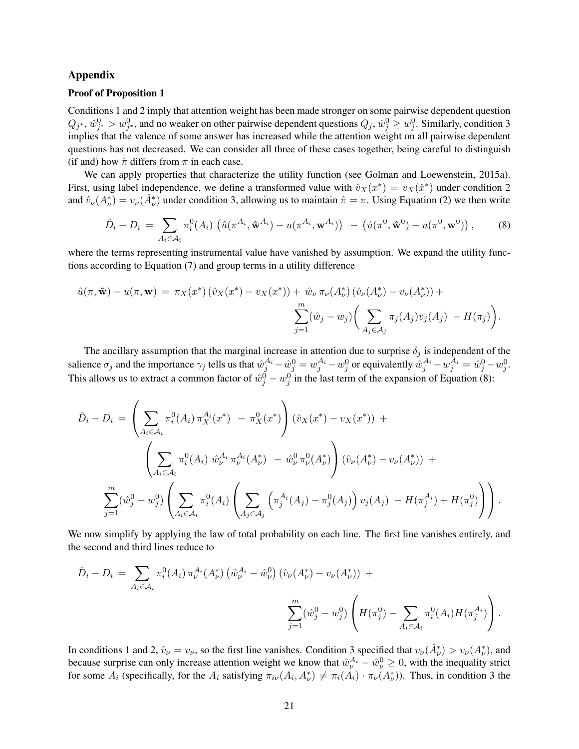#### Appendix

#### Proof of Proposition 1

Conditions 1 and 2 imply that attention weight has been made stronger on some pairwise dependent question  $Q_j$ \*,  $\hat{w}_{j^*}^0 > w_{j^*}^0$ , and no weaker on other pairwise dependent questions  $Q_j$ ,  $\hat{w}_j^0 \ge w_j^0$ . Similarly, condition 3 implies that the valence of some answer has increased while the attention weight on all pairwise dependent questions has not decreased. We can consider all three of these cases together, being careful to distinguish (if and) how  $\hat{\pi}$  differs from  $\pi$  in each case.

We can apply properties that characterize the utility function (see Golman and Loewenstein, 2015a). First, using label independence, we define a transformed value with  $\hat{v}_X(x^*) = v_X(\hat{x}^*)$  under condition 2 and  $\hat{v}_{\nu}(A_{\nu}^*) = v_{\nu}(\hat{A}_{\nu}^*)$  under condition 3, allowing us to maintain  $\hat{\pi} = \pi$ . Using Equation (2) we then write

$$
\hat{D}_i - D_i = \sum_{A_i \in \mathcal{A}_i} \pi_i^0(A_i) \left( \hat{u}(\pi^{A_i}, \hat{\mathbf{w}}^{A_i}) - u(\pi^{A_i}, \mathbf{w}^{A_i}) \right) - \left( \hat{u}(\pi^0, \hat{\mathbf{w}}^0) - u(\pi^0, \mathbf{w}^0) \right), \tag{8}
$$

where the terms representing instrumental value have vanished by assumption. We expand the utility functions according to Equation (7) and group terms in a utility difference

$$
\hat{u}(\pi, \hat{\mathbf{w}}) - u(\pi, \mathbf{w}) = \pi_X(x^*) (\hat{v}_X(x^*) - v_X(x^*)) + \hat{w}_{\nu} \pi_{\nu}(A_{\nu}^*) (\hat{v}_{\nu}(A_{\nu}^*) - v_{\nu}(A_{\nu}^*)) + \sum_{j=1}^m (\hat{w}_j - w_j) \left( \sum_{A_j \in \mathcal{A}_j} \pi_j(A_j) v_j(A_j) - H(\pi_j) \right).
$$

The ancillary assumption that the marginal increase in attention due to surprise  $\delta_i$  is independent of the salience  $\sigma_j$  and the importance  $\gamma_j$  tells us that  $\hat{w}_j^{A_i} - \hat{w}_j^0 = w_j^{A_i} - w_j^0$  or equivalently  $\hat{w}_j^{A_i} - w_j^{A_i} = \hat{w}_j^0 - w_j^0$ . This allows us to extract a common factor of  $\hat{w}_j^0 - w_j^0$  in the last term of the expansion of Equation (8):

$$
\hat{D}_{i} - D_{i} = \left( \sum_{A_{i} \in \mathcal{A}_{i}} \pi_{i}^{0}(A_{i}) \pi_{X}^{A_{i}}(x^{*}) - \pi_{X}^{0}(x^{*}) \right) (\hat{v}_{X}(x^{*}) - v_{X}(x^{*})) +
$$
\n
$$
\left( \sum_{A_{i} \in \mathcal{A}_{i}} \pi_{i}^{0}(A_{i}) \hat{w}_{\nu}^{A_{i}} \pi_{\nu}^{A_{i}}(A_{\nu}^{*}) - \hat{w}_{\nu}^{0} \pi_{\nu}^{0}(A_{\nu}^{*}) \right) (\hat{v}_{\nu}(A_{\nu}^{*}) - v_{\nu}(A_{\nu}^{*})) +
$$
\n
$$
\sum_{j=1}^{m} (\hat{w}_{j}^{0} - w_{j}^{0}) \left( \sum_{A_{i} \in \mathcal{A}_{i}} \pi_{i}^{0}(A_{i}) \left( \sum_{A_{j} \in \mathcal{A}_{j}} \left( \pi_{j}^{A_{i}}(A_{j}) - \pi_{j}^{0}(A_{j}) \right) v_{j}(A_{j}) - H(\pi_{j}^{A_{i}}) + H(\pi_{j}^{0}) \right) \right).
$$

We now simplify by applying the law of total probability on each line. The first line vanishes entirely, and the second and third lines reduce to

$$
\hat{D}_i - D_i = \sum_{A_i \in \mathcal{A}_i} \pi_i^0(A_i) \pi_{\nu}^{A_i}(A_{\nu}^*) \left( \hat{w}_{\nu}^{A_i} - \hat{w}_{\nu}^0 \right) \left( \hat{v}_{\nu}(A_{\nu}^*) - v_{\nu}(A_{\nu}^*) \right) + \sum_{j=1}^m (\hat{w}_j^0 - w_j^0) \left( H(\pi_j^0) - \sum_{A_i \in \mathcal{A}_i} \pi_i^0(A_i) H(\pi_j^{A_i}) \right).
$$

In conditions 1 and 2,  $\hat{v}_v = v_v$ , so the first line vanishes. Condition 3 specified that  $v_v(\hat{A}_v^*) > v_v(A_v^*)$ , and because surprise can only increase attention weight we know that  $\hat{w}^{A_i}_\nu - \hat{w}^0_\nu \geq 0$ , with the inequality strict for some  $A_i$  (specifically, for the  $A_i$  satisfying  $\pi_{i\nu}(A_i, A_{\nu}^*) \neq \pi_i(A_i) \cdot \pi_{\nu}(A_{\nu}^*)$ ). Thus, in condition 3 the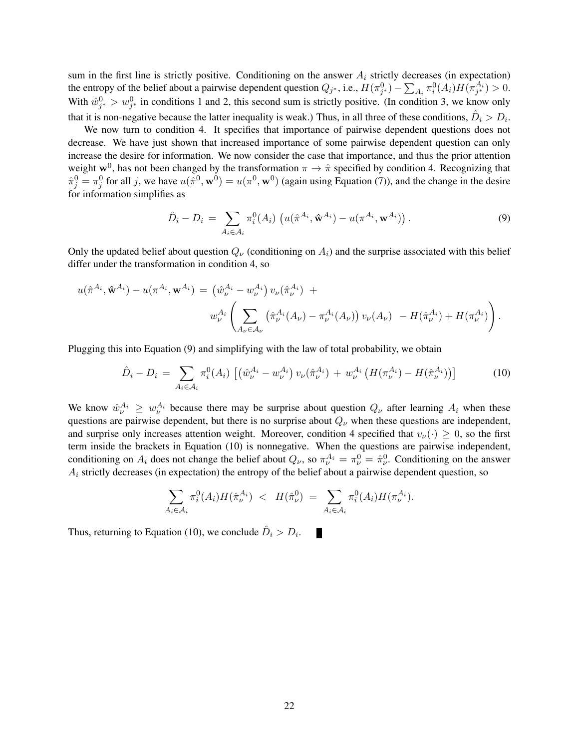sum in the first line is strictly positive. Conditioning on the answer  $A_i$  strictly decreases (in expectation) the entropy of the belief about a pairwise dependent question  $Q_{j^*}$ , i.e.,  $H(\pi_{j^*}^0) - \sum_{A_i} \pi_i^0(A_i) H(\pi_{j^*}^{A_i}) > 0$ . With  $\hat{w}_{j^*}^0 > w_{j^*}^0$  in conditions 1 and 2, this second sum is strictly positive. (In condition 3, we know only that it is non-negative because the latter inequality is weak.) Thus, in all three of these conditions,  $\hat{D}_i > D_i$ .

We now turn to condition 4. It specifies that importance of pairwise dependent questions does not decrease. We have just shown that increased importance of some pairwise dependent question can only increase the desire for information. We now consider the case that importance, and thus the prior attention weight w<sup>0</sup>, has not been changed by the transformation  $\pi \to \hat{\pi}$  specified by condition 4. Recognizing that  $\hat{\pi}_j^0 = \pi_j^0$  for all j, we have  $u(\hat{\pi}^0, \mathbf{w}^0) = u(\pi^0, \mathbf{w}^0)$  (again using Equation (7)), and the change in the desire for information simplifies as

$$
\hat{D}_i - D_i = \sum_{A_i \in \mathcal{A}_i} \pi_i^0(A_i) \left( u(\hat{\pi}^{A_i}, \hat{\mathbf{w}}^{A_i}) - u(\pi^{A_i}, \mathbf{w}^{A_i}) \right). \tag{9}
$$

Only the updated belief about question  $Q_{\nu}$  (conditioning on  $A_i$ ) and the surprise associated with this belief differ under the transformation in condition 4, so

$$
u(\hat{\pi}^{A_i}, \hat{\mathbf{w}}^{A_i}) - u(\pi^{A_i}, \mathbf{w}^{A_i}) = (\hat{w}_{\nu}^{A_i} - w_{\nu}^{A_i}) v_{\nu}(\hat{\pi}_{\nu}^{A_i}) +
$$

$$
w_{\nu}^{A_i} \left( \sum_{A_{\nu} \in A_{\nu}} (\hat{\pi}_{\nu}^{A_i}(A_{\nu}) - \pi_{\nu}^{A_i}(A_{\nu})) v_{\nu}(A_{\nu}) - H(\hat{\pi}_{\nu}^{A_i}) + H(\pi_{\nu}^{A_i}) \right).
$$

Plugging this into Equation (9) and simplifying with the law of total probability, we obtain

$$
\hat{D}_i - D_i = \sum_{A_i \in \mathcal{A}_i} \pi_i^0(A_i) \left[ \left( \hat{w}_{\nu}^{A_i} - w_{\nu}^{A_i} \right) v_{\nu}(\hat{\pi}_{\nu}^{A_i}) + w_{\nu}^{A_i} \left( H(\pi_{\nu}^{A_i}) - H(\hat{\pi}_{\nu}^{A_i}) \right) \right] \tag{10}
$$

We know  $\hat{w}^{A_i}_{\nu} \geq w^{A_i}_{\nu}$  because there may be surprise about question  $Q_{\nu}$  after learning  $A_i$  when these questions are pairwise dependent, but there is no surprise about  $Q_{\nu}$  when these questions are independent, and surprise only increases attention weight. Moreover, condition 4 specified that  $v_{\nu}(\cdot) \ge 0$ , so the first term inside the brackets in Equation (10) is nonnegative. When the questions are pairwise independent, conditioning on  $A_i$  does not change the belief about  $Q_\nu$ , so  $\pi_\nu^{A_i} = \pi_\nu^0 = \hat{\pi}_\nu^0$ . Conditioning on the answer  $A_i$  strictly decreases (in expectation) the entropy of the belief about a pairwise dependent question, so

$$
\sum_{A_i \in \mathcal{A}_i} \pi_i^0(A_i) H(\hat{\pi}_{\nu}^{A_i}) \leq H(\hat{\pi}_{\nu}^0) = \sum_{A_i \in \mathcal{A}_i} \pi_i^0(A_i) H(\pi_{\nu}^{A_i}).
$$

Thus, returning to Equation (10), we conclude  $\hat{D}_i > D_i$ .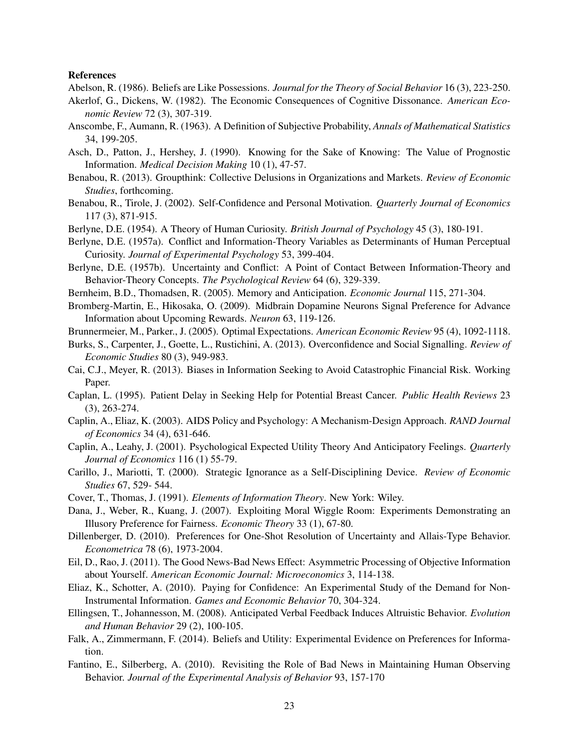#### References

Abelson, R. (1986). Beliefs are Like Possessions. *Journal for the Theory of Social Behavior* 16 (3), 223-250.

- Akerlof, G., Dickens, W. (1982). The Economic Consequences of Cognitive Dissonance. *American Economic Review* 72 (3), 307-319.
- Anscombe, F., Aumann, R. (1963). A Definition of Subjective Probability, *Annals of Mathematical Statistics* 34, 199-205.
- Asch, D., Patton, J., Hershey, J. (1990). Knowing for the Sake of Knowing: The Value of Prognostic Information. *Medical Decision Making* 10 (1), 47-57.
- Benabou, R. (2013). Groupthink: Collective Delusions in Organizations and Markets. *Review of Economic Studies*, forthcoming.
- Benabou, R., Tirole, J. (2002). Self-Confidence and Personal Motivation. *Quarterly Journal of Economics* 117 (3), 871-915.
- Berlyne, D.E. (1954). A Theory of Human Curiosity. *British Journal of Psychology* 45 (3), 180-191.
- Berlyne, D.E. (1957a). Conflict and Information-Theory Variables as Determinants of Human Perceptual Curiosity. *Journal of Experimental Psychology* 53, 399-404.
- Berlyne, D.E. (1957b). Uncertainty and Conflict: A Point of Contact Between Information-Theory and Behavior-Theory Concepts. *The Psychological Review* 64 (6), 329-339.
- Bernheim, B.D., Thomadsen, R. (2005). Memory and Anticipation. *Economic Journal* 115, 271-304.
- Bromberg-Martin, E., Hikosaka, O. (2009). Midbrain Dopamine Neurons Signal Preference for Advance Information about Upcoming Rewards. *Neuron* 63, 119-126.

Brunnermeier, M., Parker., J. (2005). Optimal Expectations. *American Economic Review* 95 (4), 1092-1118.

- Burks, S., Carpenter, J., Goette, L., Rustichini, A. (2013). Overconfidence and Social Signalling. *Review of Economic Studies* 80 (3), 949-983.
- Cai, C.J., Meyer, R. (2013). Biases in Information Seeking to Avoid Catastrophic Financial Risk. Working Paper.
- Caplan, L. (1995). Patient Delay in Seeking Help for Potential Breast Cancer. *Public Health Reviews* 23 (3), 263-274.
- Caplin, A., Eliaz, K. (2003). AIDS Policy and Psychology: A Mechanism-Design Approach. *RAND Journal of Economics* 34 (4), 631-646.
- Caplin, A., Leahy, J. (2001). Psychological Expected Utility Theory And Anticipatory Feelings. *Quarterly Journal of Economics* 116 (1) 55-79.
- Carillo, J., Mariotti, T. (2000). Strategic Ignorance as a Self-Disciplining Device. *Review of Economic Studies* 67, 529- 544.
- Cover, T., Thomas, J. (1991). *Elements of Information Theory*. New York: Wiley.
- Dana, J., Weber, R., Kuang, J. (2007). Exploiting Moral Wiggle Room: Experiments Demonstrating an Illusory Preference for Fairness. *Economic Theory* 33 (1), 67-80.
- Dillenberger, D. (2010). Preferences for One-Shot Resolution of Uncertainty and Allais-Type Behavior. *Econometrica* 78 (6), 1973-2004.
- Eil, D., Rao, J. (2011). The Good News-Bad News Effect: Asymmetric Processing of Objective Information about Yourself. *American Economic Journal: Microeconomics* 3, 114-138.
- Eliaz, K., Schotter, A. (2010). Paying for Confidence: An Experimental Study of the Demand for Non-Instrumental Information. *Games and Economic Behavior* 70, 304-324.
- Ellingsen, T., Johannesson, M. (2008). Anticipated Verbal Feedback Induces Altruistic Behavior. *Evolution and Human Behavior* 29 (2), 100-105.
- Falk, A., Zimmermann, F. (2014). Beliefs and Utility: Experimental Evidence on Preferences for Information.
- Fantino, E., Silberberg, A. (2010). Revisiting the Role of Bad News in Maintaining Human Observing Behavior. *Journal of the Experimental Analysis of Behavior* 93, 157-170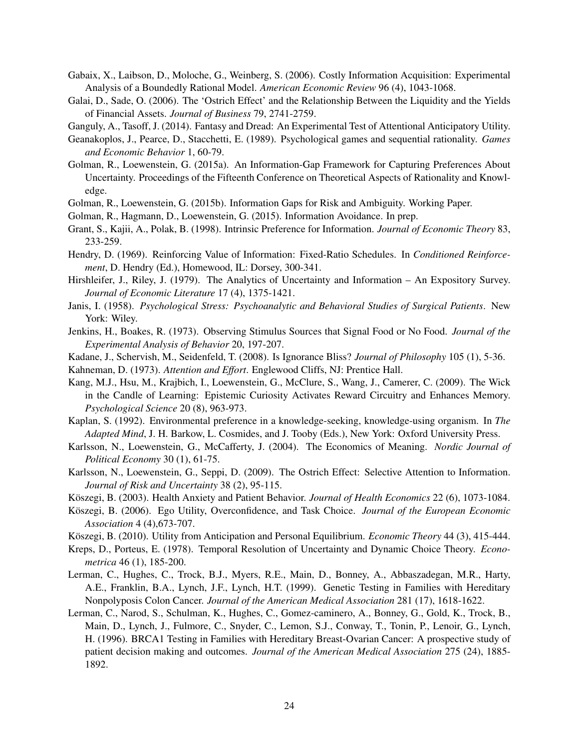- Gabaix, X., Laibson, D., Moloche, G., Weinberg, S. (2006). Costly Information Acquisition: Experimental Analysis of a Boundedly Rational Model. *American Economic Review* 96 (4), 1043-1068.
- Galai, D., Sade, O. (2006). The 'Ostrich Effect' and the Relationship Between the Liquidity and the Yields of Financial Assets. *Journal of Business* 79, 2741-2759.
- Ganguly, A., Tasoff, J. (2014). Fantasy and Dread: An Experimental Test of Attentional Anticipatory Utility.
- Geanakoplos, J., Pearce, D., Stacchetti, E. (1989). Psychological games and sequential rationality. *Games and Economic Behavior* 1, 60-79.
- Golman, R., Loewenstein, G. (2015a). An Information-Gap Framework for Capturing Preferences About Uncertainty. Proceedings of the Fifteenth Conference on Theoretical Aspects of Rationality and Knowledge.
- Golman, R., Loewenstein, G. (2015b). Information Gaps for Risk and Ambiguity. Working Paper.
- Golman, R., Hagmann, D., Loewenstein, G. (2015). Information Avoidance. In prep.
- Grant, S., Kajii, A., Polak, B. (1998). Intrinsic Preference for Information. *Journal of Economic Theory* 83, 233-259.
- Hendry, D. (1969). Reinforcing Value of Information: Fixed-Ratio Schedules. In *Conditioned Reinforcement*, D. Hendry (Ed.), Homewood, IL: Dorsey, 300-341.
- Hirshleifer, J., Riley, J. (1979). The Analytics of Uncertainty and Information An Expository Survey. *Journal of Economic Literature* 17 (4), 1375-1421.
- Janis, I. (1958). *Psychological Stress: Psychoanalytic and Behavioral Studies of Surgical Patients*. New York: Wiley.
- Jenkins, H., Boakes, R. (1973). Observing Stimulus Sources that Signal Food or No Food. *Journal of the Experimental Analysis of Behavior* 20, 197-207.
- Kadane, J., Schervish, M., Seidenfeld, T. (2008). Is Ignorance Bliss? *Journal of Philosophy* 105 (1), 5-36.
- Kahneman, D. (1973). *Attention and Effort*. Englewood Cliffs, NJ: Prentice Hall.
- Kang, M.J., Hsu, M., Krajbich, I., Loewenstein, G., McClure, S., Wang, J., Camerer, C. (2009). The Wick in the Candle of Learning: Epistemic Curiosity Activates Reward Circuitry and Enhances Memory. *Psychological Science* 20 (8), 963-973.
- Kaplan, S. (1992). Environmental preference in a knowledge-seeking, knowledge-using organism. In *The Adapted Mind*, J. H. Barkow, L. Cosmides, and J. Tooby (Eds.), New York: Oxford University Press.
- Karlsson, N., Loewenstein, G., McCafferty, J. (2004). The Economics of Meaning. *Nordic Journal of Political Economy* 30 (1), 61-75.
- Karlsson, N., Loewenstein, G., Seppi, D. (2009). The Ostrich Effect: Selective Attention to Information. *Journal of Risk and Uncertainty* 38 (2), 95-115.
- Köszegi, B. (2003). Health Anxiety and Patient Behavior. *Journal of Health Economics* 22 (6), 1073-1084.
- Köszegi, B. (2006). Ego Utility, Overconfidence, and Task Choice. *Journal of the European Economic Association* 4 (4),673-707.
- Köszegi, B. (2010). Utility from Anticipation and Personal Equilibrium. *Economic Theory* 44 (3), 415-444.
- Kreps, D., Porteus, E. (1978). Temporal Resolution of Uncertainty and Dynamic Choice Theory. *Econometrica* 46 (1), 185-200.
- Lerman, C., Hughes, C., Trock, B.J., Myers, R.E., Main, D., Bonney, A., Abbaszadegan, M.R., Harty, A.E., Franklin, B.A., Lynch, J.F., Lynch, H.T. (1999). Genetic Testing in Families with Hereditary Nonpolyposis Colon Cancer. *Journal of the American Medical Association* 281 (17), 1618-1622.
- Lerman, C., Narod, S., Schulman, K., Hughes, C., Gomez-caminero, A., Bonney, G., Gold, K., Trock, B., Main, D., Lynch, J., Fulmore, C., Snyder, C., Lemon, S.J., Conway, T., Tonin, P., Lenoir, G., Lynch, H. (1996). BRCA1 Testing in Families with Hereditary Breast-Ovarian Cancer: A prospective study of patient decision making and outcomes. *Journal of the American Medical Association* 275 (24), 1885- 1892.